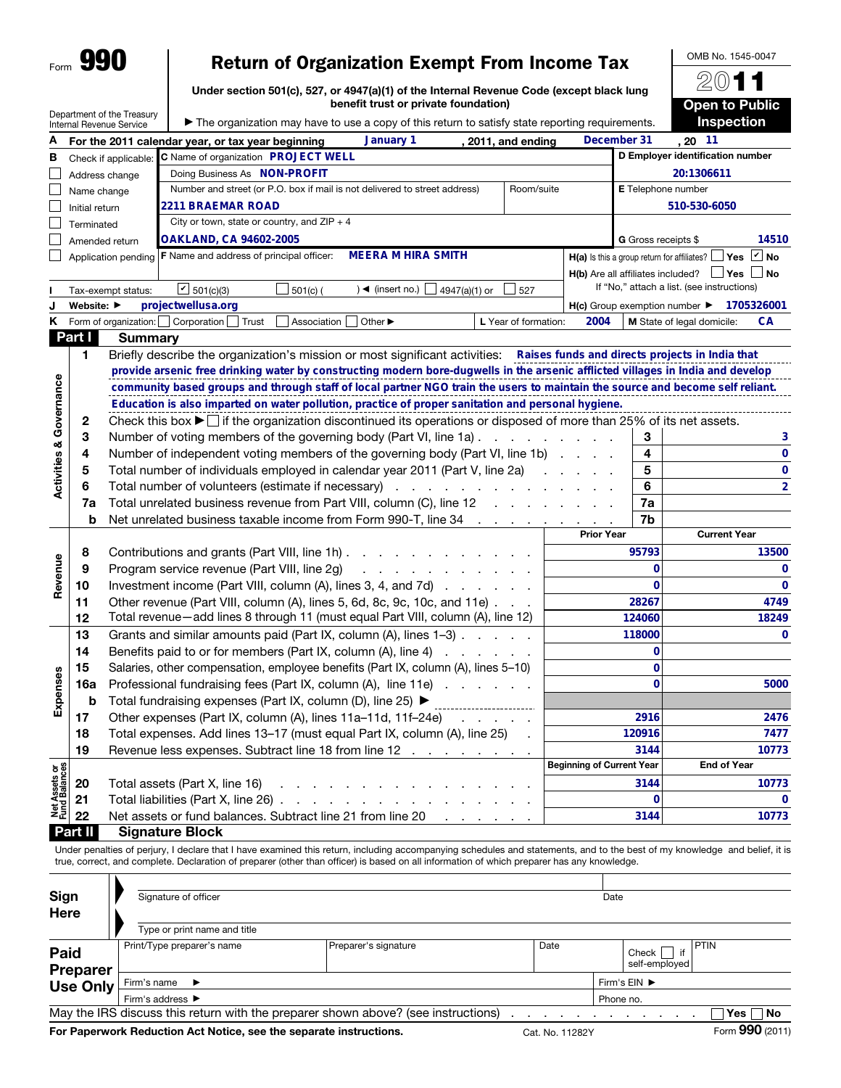## Return of Organization Exempt From Income Tax

Under section 501(c), 527, or 4947(a)(1) of the Internal Revenue Code (except black lung benefit trust or private foundation)

|                                |                | Department of the Treasury | benefit trust or private foundation)                                                                                                 |                                  |                            | <b>Open to Public</b>                                            |  |  |  |  |  |  |
|--------------------------------|----------------|----------------------------|--------------------------------------------------------------------------------------------------------------------------------------|----------------------------------|----------------------------|------------------------------------------------------------------|--|--|--|--|--|--|
|                                |                | Internal Revenue Service   | The organization may have to use a copy of this return to satisfy state reporting requirements.                                      |                                  |                            | <b>Inspection</b>                                                |  |  |  |  |  |  |
| А                              |                |                            | January 1<br>For the 2011 calendar year, or tax year beginning<br>, 2011, and ending                                                 |                                  | December 31                | , 20 11                                                          |  |  |  |  |  |  |
| в                              |                | Check if applicable:       | C Name of organization PROJECT WELL                                                                                                  |                                  |                            | D Employer identification number<br>20:1306611                   |  |  |  |  |  |  |
|                                | Address change |                            | Doing Business As  NON-PROFIT                                                                                                        |                                  |                            |                                                                  |  |  |  |  |  |  |
|                                | Name change    |                            | Number and street (or P.O. box if mail is not delivered to street address)<br>Room/suite                                             |                                  | E Telephone number         |                                                                  |  |  |  |  |  |  |
|                                | Initial return |                            | 2211 BRAEMAR ROAD                                                                                                                    |                                  |                            | 510-530-6050                                                     |  |  |  |  |  |  |
|                                | Terminated     |                            | City or town, state or country, and $ZIP + 4$                                                                                        |                                  |                            |                                                                  |  |  |  |  |  |  |
|                                |                | Amended return             | <b>OAKLAND, CA 94602-2005</b>                                                                                                        |                                  | <b>G</b> Gross receipts \$ | 14510                                                            |  |  |  |  |  |  |
|                                |                | Application pending        | <b>MEERA M HIRA SMITH</b><br><b>F</b> Name and address of principal officer:                                                         |                                  |                            | H(a) Is this a group return for affiliates? $\Box$ Yes $\Box$ No |  |  |  |  |  |  |
|                                |                |                            |                                                                                                                                      |                                  |                            | $H(b)$ Are all affiliates included? $\Box$ Yes $\Box$ No         |  |  |  |  |  |  |
|                                |                | Tax-exempt status:         | $\boxed{C}$ 501(c)(3)<br>$501(c)$ (<br>) ◀ (insert no.) [<br>4947(a)(1) or<br>527                                                    |                                  |                            | If "No," attach a list. (see instructions)                       |  |  |  |  |  |  |
| J                              | Website: ▶     |                            | projectwellusa.org                                                                                                                   |                                  |                            | H(c) Group exemption number > 1705326001                         |  |  |  |  |  |  |
| ĸ                              |                |                            | Form of organization:   Corporation  <br>Trust<br>Association<br>Other ▶<br>L Year of formation:                                     | 2004                             |                            | M State of legal domicile:<br>CА                                 |  |  |  |  |  |  |
|                                | Part I         | <b>Summary</b>             |                                                                                                                                      |                                  |                            |                                                                  |  |  |  |  |  |  |
|                                | 1              |                            | Briefly describe the organization's mission or most significant activities: Raises funds and directs projects in India that          |                                  |                            |                                                                  |  |  |  |  |  |  |
|                                |                |                            | provide arsenic free drinking water by constructing modern bore-dugwells in the arsenic afflicted villages in India and develop      |                                  |                            |                                                                  |  |  |  |  |  |  |
|                                |                |                            | community based groups and through staff of local partner NGO train the users to maintain the source and become self reliant.        |                                  |                            |                                                                  |  |  |  |  |  |  |
|                                |                |                            | Education is also imparted on water pollution, practice of proper sanitation and personal hygiene.                                   |                                  |                            |                                                                  |  |  |  |  |  |  |
|                                | 2              |                            | Check this box $\blacktriangleright$ if the organization discontinued its operations or disposed of more than 25% of its net assets. |                                  |                            |                                                                  |  |  |  |  |  |  |
|                                | 3              |                            | Number of voting members of the governing body (Part VI, line 1a)                                                                    |                                  | 3                          | 3                                                                |  |  |  |  |  |  |
|                                | 4              |                            | Number of independent voting members of the governing body (Part VI, line 1b)                                                        |                                  | 4                          | 0                                                                |  |  |  |  |  |  |
| Activities & Governance        | 5              |                            | Total number of individuals employed in calendar year 2011 (Part V, line 2a)                                                         |                                  | 5                          | 0                                                                |  |  |  |  |  |  |
|                                | 6              |                            | Total number of volunteers (estimate if necessary)                                                                                   |                                  | 6                          | $\overline{2}$                                                   |  |  |  |  |  |  |
|                                | 7a             |                            | Total unrelated business revenue from Part VIII, column (C), line 12                                                                 |                                  | 7a                         |                                                                  |  |  |  |  |  |  |
|                                | b              |                            | Net unrelated business taxable income from Form 990-T, line 34 mass and contact the state of the SNet and Meta                       |                                  | 7b                         |                                                                  |  |  |  |  |  |  |
|                                |                |                            |                                                                                                                                      | <b>Prior Year</b>                |                            | <b>Current Year</b>                                              |  |  |  |  |  |  |
|                                | 8              |                            | Contributions and grants (Part VIII, line 1h)                                                                                        |                                  | 95793                      | 13500                                                            |  |  |  |  |  |  |
| Revenue                        | 9              |                            | Program service revenue (Part VIII, line 2g)<br>المنافر والمنافر والمنافر والمنافر والمنافر                                          |                                  | 0                          | 0                                                                |  |  |  |  |  |  |
|                                | 10             |                            | Investment income (Part VIII, column (A), lines 3, 4, and 7d)                                                                        |                                  | $\bf{0}$                   | 0                                                                |  |  |  |  |  |  |
|                                | 11             |                            | Other revenue (Part VIII, column (A), lines 5, 6d, 8c, 9c, 10c, and 11e)                                                             |                                  | 28267                      | 4749                                                             |  |  |  |  |  |  |
|                                | 12             |                            | Total revenue-add lines 8 through 11 (must equal Part VIII, column (A), line 12)                                                     |                                  | 124060                     | 18249                                                            |  |  |  |  |  |  |
|                                | 13             |                            | Grants and similar amounts paid (Part IX, column (A), lines 1–3)                                                                     |                                  | 118000                     | 0                                                                |  |  |  |  |  |  |
|                                | 14             |                            | Benefits paid to or for members (Part IX, column (A), line 4)                                                                        |                                  | 0                          |                                                                  |  |  |  |  |  |  |
|                                | 15             |                            | Salaries, other compensation, employee benefits (Part IX, column (A), lines 5-10)                                                    |                                  | 0                          |                                                                  |  |  |  |  |  |  |
|                                | 16a            |                            | Professional fundraising fees (Part IX, column (A), line 11e)                                                                        |                                  | $\bf{0}$                   | 5000                                                             |  |  |  |  |  |  |
| Expenses                       | b              |                            | Total fundraising expenses (Part IX, column (D), line 25) ▶                                                                          |                                  |                            |                                                                  |  |  |  |  |  |  |
|                                | 17             |                            | Other expenses (Part IX, column (A), lines 11a-11d, 11f-24e)<br>and a state of the                                                   |                                  | 2916                       | 2476                                                             |  |  |  |  |  |  |
|                                | 18             |                            | Total expenses. Add lines 13-17 (must equal Part IX, column (A), line 25)                                                            |                                  | 120916                     | 7477                                                             |  |  |  |  |  |  |
|                                | 19             |                            | Revenue less expenses. Subtract line 18 from line 12                                                                                 | <b>Beginning of Current Year</b> | 3144                       | 10773<br><b>End of Year</b>                                      |  |  |  |  |  |  |
| Net Assets or<br>Fund Balances |                |                            |                                                                                                                                      |                                  |                            |                                                                  |  |  |  |  |  |  |
|                                | 20             |                            | Total assets (Part X, line 16)<br>والمتعاون والمتعاون والمتعاون والمتعاون والمتعاونة                                                 |                                  | 3144                       | 10773                                                            |  |  |  |  |  |  |
|                                | 21             |                            |                                                                                                                                      |                                  | 0                          | 0                                                                |  |  |  |  |  |  |
|                                | 22             |                            | Net assets or fund balances. Subtract line 21 from line 20<br>the contract of the con-                                               |                                  | 3144                       | 10773                                                            |  |  |  |  |  |  |
|                                | Part II        |                            | <b>Signature Block</b>                                                                                                               |                                  |                            |                                                                  |  |  |  |  |  |  |

Under penalties of perjury, I declare that I have examined this return, including accompanying schedules and statements, and to the best of my knowledge and belief, it is true, correct, and complete. Declaration of preparer (other than officer) is based on all information of which preparer has any knowledge.

| <b>Sign</b><br>Here     | Signature of officer                 |                                                                                   |                                    | Date                         |                                                 |
|-------------------------|--------------------------------------|-----------------------------------------------------------------------------------|------------------------------------|------------------------------|-------------------------------------------------|
|                         | Type or print name and title         |                                                                                   |                                    |                              |                                                 |
| Paid<br><b>Preparer</b> | Print/Type preparer's name           | Preparer's signature                                                              | Date                               | if<br>Check<br>self-employed | <b>PTIN</b>                                     |
| <b>Use Only</b>         | Firm's name $\blacktriangleright$    |                                                                                   | Firm's $EIN$ $\blacktriangleright$ |                              |                                                 |
|                         | Firm's address $\blacktriangleright$ |                                                                                   | Phone no.                          |                              |                                                 |
|                         |                                      | May the IRS discuss this return with the preparer shown above? (see instructions) |                                    |                              | $Yes \mid No$                                   |
|                         |                                      |                                                                                   |                                    |                              | $\mathbf{r} = \mathbf{0} \mathbf{0} \mathbf{0}$ |

For Paperwork Reduction Act Notice, see the separate instructions. Cat. No. 11282Y Form 990 (2011)

OMB No. 1545-0047 2011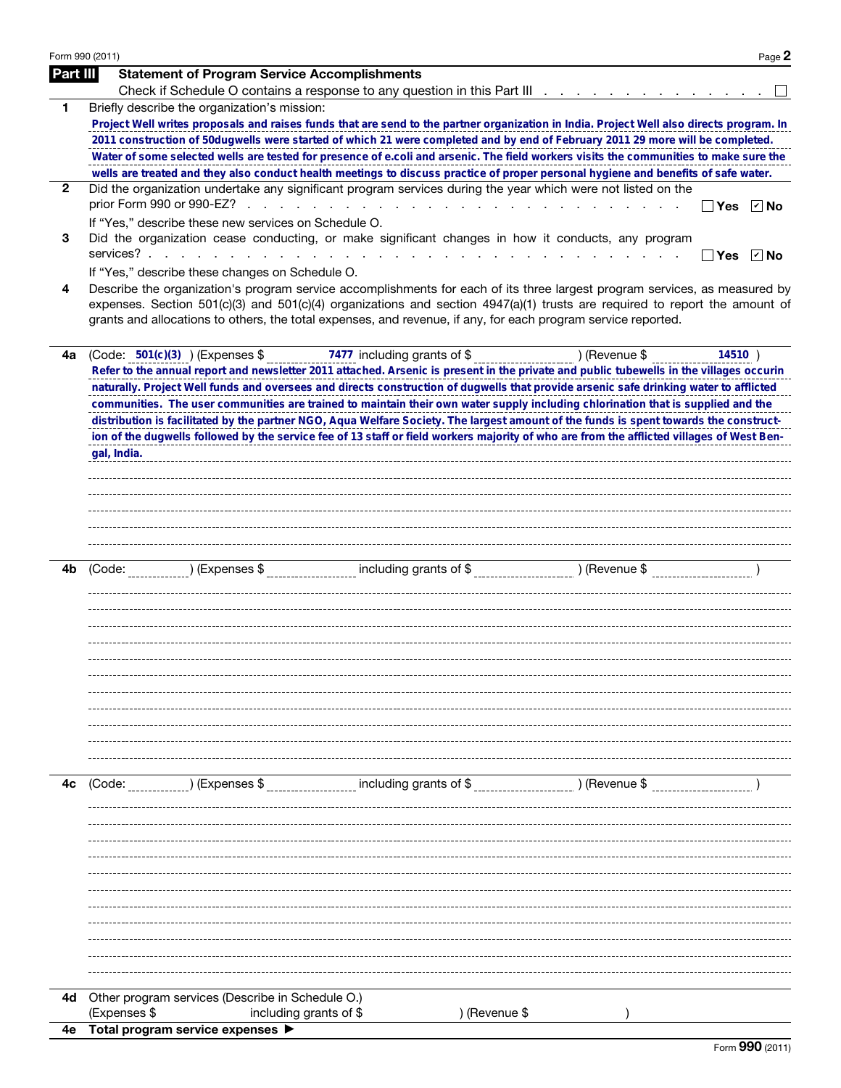|              | Form 990 (2011) |                                                      |                                                                                                               |                                                                                                                                                                                                                                                                         | Page 2                     |
|--------------|-----------------|------------------------------------------------------|---------------------------------------------------------------------------------------------------------------|-------------------------------------------------------------------------------------------------------------------------------------------------------------------------------------------------------------------------------------------------------------------------|----------------------------|
| Part III     |                 | <b>Statement of Program Service Accomplishments</b>  |                                                                                                               |                                                                                                                                                                                                                                                                         |                            |
|              |                 |                                                      |                                                                                                               | Check if Schedule O contains a response to any question in this Part III                                                                                                                                                                                                |                            |
| 1            |                 | Briefly describe the organization's mission:         |                                                                                                               |                                                                                                                                                                                                                                                                         |                            |
|              |                 |                                                      |                                                                                                               | Project Well writes proposals and raises funds that are send to the partner organization in India. Project Well also directs program. In                                                                                                                                |                            |
|              |                 |                                                      |                                                                                                               | 2011 construction of 50dugwells were started of which 21 were completed and by end of February 2011 29 more will be completed.<br>Water of some selected wells are tested for presence of e.coli and arsenic. The field workers visits the communities to make sure the |                            |
|              |                 |                                                      |                                                                                                               | wells are treated and they also conduct health meetings to discuss practice of proper personal hygiene and benefits of safe water.                                                                                                                                      |                            |
| $\mathbf{2}$ |                 |                                                      | Did the organization undertake any significant program services during the year which were not listed on the  |                                                                                                                                                                                                                                                                         |                            |
|              |                 |                                                      |                                                                                                               | <b>Contract Contract</b><br><b>Yes</b>                                                                                                                                                                                                                                  | $ v $ No                   |
|              |                 | If "Yes," describe these new services on Schedule O. |                                                                                                               |                                                                                                                                                                                                                                                                         |                            |
| 3            |                 |                                                      | Did the organization cease conducting, or make significant changes in how it conducts, any program            |                                                                                                                                                                                                                                                                         |                            |
|              |                 | services?                                            | <b>Service</b> State<br>$\sim 10$ $\mu$                                                                       | the contract of the contract of the contract of the contract of the contract of<br>Yes                                                                                                                                                                                  | $\boxed{\triangledown}$ No |
|              |                 | If "Yes," describe these changes on Schedule O.      |                                                                                                               |                                                                                                                                                                                                                                                                         |                            |
| 4            |                 |                                                      | grants and allocations to others, the total expenses, and revenue, if any, for each program service reported. | Describe the organization's program service accomplishments for each of its three largest program services, as measured by<br>expenses. Section 501(c)(3) and 501(c)(4) organizations and section $4947(a)(1)$ trusts are required to report the amount of              |                            |
|              |                 |                                                      |                                                                                                               |                                                                                                                                                                                                                                                                         |                            |
| 4a           |                 | $(Code: 501(c)(3))$ (Expenses \$                     | 7477 including grants of \$                                                                                   | ) (Revenue \$<br>14510)<br>Refer to the annual report and newsletter 2011 attached. Arsenic is present in the private and public tubewells in the villages occurin                                                                                                      |                            |
|              |                 |                                                      |                                                                                                               | naturally. Project Well funds and oversees and directs construction of dugwells that provide arsenic safe drinking water to afflicted                                                                                                                                   |                            |
|              |                 |                                                      |                                                                                                               | communities. The user communities are trained to maintain their own water supply including chlorination that is supplied and the                                                                                                                                        |                            |
|              |                 |                                                      |                                                                                                               | distribution is facilitated by the partner NGO, Aqua Welfare Society. The largest amount of the funds is spent towards the construct-                                                                                                                                   |                            |
|              |                 |                                                      |                                                                                                               | ion of the dugwells followed by the service fee of 13 staff or field workers majority of who are from the afflicted villages of West Ben-                                                                                                                               |                            |
|              | gal, India.     |                                                      |                                                                                                               |                                                                                                                                                                                                                                                                         |                            |
|              |                 |                                                      |                                                                                                               |                                                                                                                                                                                                                                                                         |                            |
|              |                 |                                                      |                                                                                                               |                                                                                                                                                                                                                                                                         |                            |
|              |                 |                                                      |                                                                                                               |                                                                                                                                                                                                                                                                         |                            |
|              |                 |                                                      |                                                                                                               |                                                                                                                                                                                                                                                                         |                            |
|              |                 |                                                      |                                                                                                               |                                                                                                                                                                                                                                                                         |                            |
|              |                 |                                                      |                                                                                                               |                                                                                                                                                                                                                                                                         |                            |
| 4b           | (Code:          |                                                      |                                                                                                               |                                                                                                                                                                                                                                                                         |                            |
|              |                 |                                                      |                                                                                                               |                                                                                                                                                                                                                                                                         |                            |
|              |                 |                                                      |                                                                                                               |                                                                                                                                                                                                                                                                         |                            |
|              |                 |                                                      |                                                                                                               |                                                                                                                                                                                                                                                                         |                            |
|              |                 |                                                      |                                                                                                               |                                                                                                                                                                                                                                                                         |                            |
|              |                 |                                                      |                                                                                                               |                                                                                                                                                                                                                                                                         |                            |
|              |                 |                                                      |                                                                                                               |                                                                                                                                                                                                                                                                         |                            |
|              |                 |                                                      |                                                                                                               |                                                                                                                                                                                                                                                                         |                            |
|              |                 |                                                      |                                                                                                               |                                                                                                                                                                                                                                                                         |                            |
|              |                 |                                                      |                                                                                                               |                                                                                                                                                                                                                                                                         |                            |
|              |                 |                                                      |                                                                                                               |                                                                                                                                                                                                                                                                         |                            |
|              |                 |                                                      |                                                                                                               |                                                                                                                                                                                                                                                                         |                            |
| 4с           | (Code:          | ) (Expenses \$                                       | including grants of \$                                                                                        | ) (Revenue \$                                                                                                                                                                                                                                                           |                            |
|              |                 |                                                      |                                                                                                               |                                                                                                                                                                                                                                                                         |                            |
|              |                 |                                                      |                                                                                                               |                                                                                                                                                                                                                                                                         |                            |
|              |                 |                                                      |                                                                                                               |                                                                                                                                                                                                                                                                         |                            |
|              |                 |                                                      |                                                                                                               |                                                                                                                                                                                                                                                                         |                            |
|              |                 |                                                      |                                                                                                               |                                                                                                                                                                                                                                                                         |                            |
|              |                 |                                                      |                                                                                                               |                                                                                                                                                                                                                                                                         |                            |
|              |                 |                                                      |                                                                                                               |                                                                                                                                                                                                                                                                         |                            |
|              |                 |                                                      |                                                                                                               |                                                                                                                                                                                                                                                                         |                            |
|              |                 |                                                      |                                                                                                               |                                                                                                                                                                                                                                                                         |                            |
|              |                 |                                                      |                                                                                                               |                                                                                                                                                                                                                                                                         |                            |
|              |                 |                                                      |                                                                                                               |                                                                                                                                                                                                                                                                         |                            |
|              |                 |                                                      |                                                                                                               |                                                                                                                                                                                                                                                                         |                            |
| 4d           |                 | Other program services (Describe in Schedule O.)     |                                                                                                               |                                                                                                                                                                                                                                                                         |                            |
|              | (Expenses \$    |                                                      | including grants of \$<br>) (Revenue \$                                                                       |                                                                                                                                                                                                                                                                         |                            |
| 4е           |                 | Total program service expenses ▶                     |                                                                                                               |                                                                                                                                                                                                                                                                         |                            |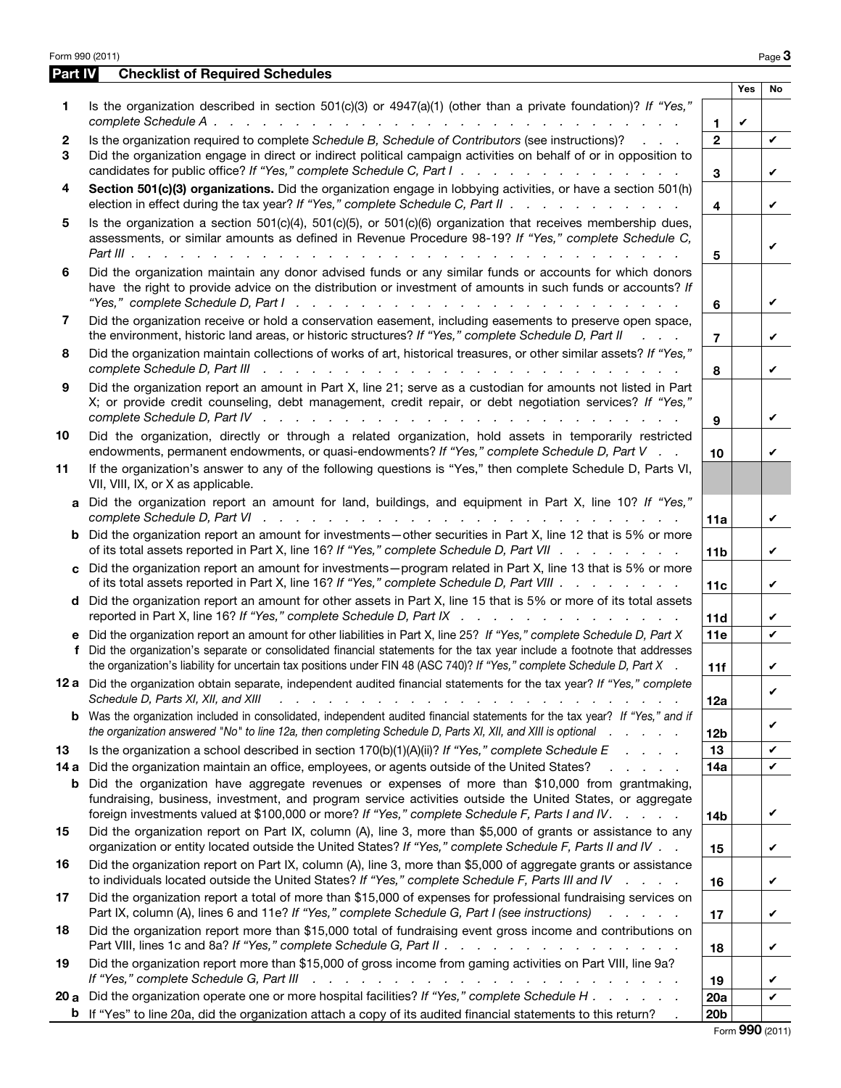|         | Form 990 (2011)                                                                                                                                                                                                                                                                                                                                                                                  |                         |     | Page $3$     |
|---------|--------------------------------------------------------------------------------------------------------------------------------------------------------------------------------------------------------------------------------------------------------------------------------------------------------------------------------------------------------------------------------------------------|-------------------------|-----|--------------|
| Part IV | <b>Checklist of Required Schedules</b>                                                                                                                                                                                                                                                                                                                                                           |                         |     |              |
| 1       | Is the organization described in section 501(c)(3) or 4947(a)(1) (other than a private foundation)? If "Yes,"                                                                                                                                                                                                                                                                                    |                         | Yes | No           |
|         |                                                                                                                                                                                                                                                                                                                                                                                                  | 1.                      | V   |              |
| 2<br>3  | Is the organization required to complete Schedule B, Schedule of Contributors (see instructions)?<br>Did the organization engage in direct or indirect political campaign activities on behalf of or in opposition to<br>candidates for public office? If "Yes," complete Schedule C, Part I.                                                                                                    | $\mathbf{2}$<br>3       |     | V<br>V       |
| 4       | Section 501(c)(3) organizations. Did the organization engage in lobbying activities, or have a section 501(h)<br>election in effect during the tax year? If "Yes," complete Schedule C, Part II                                                                                                                                                                                                  | $\overline{\mathbf{4}}$ |     | V            |
| 5       | Is the organization a section $501(c)(4)$ , $501(c)(5)$ , or $501(c)(6)$ organization that receives membership dues,<br>assessments, or similar amounts as defined in Revenue Procedure 98-19? If "Yes," complete Schedule C,                                                                                                                                                                    | 5                       |     | V            |
| 6       | Did the organization maintain any donor advised funds or any similar funds or accounts for which donors<br>have the right to provide advice on the distribution or investment of amounts in such funds or accounts? If                                                                                                                                                                           | 6                       |     | V            |
| 7       | Did the organization receive or hold a conservation easement, including easements to preserve open space,<br>the environment, historic land areas, or historic structures? If "Yes," complete Schedule D, Part II<br>$\mathcal{L} = \mathcal{L} \times \mathcal{L}$                                                                                                                              | $\overline{7}$          |     | V            |
| 8       | Did the organization maintain collections of works of art, historical treasures, or other similar assets? If "Yes,"<br>complete Schedule D, Part III<br>والمتواطن والمتواطن والمتواطن والمتواطن والمتواطن والمتواطن والمتواطن والمتواطن والمتواطن والمتواطن                                                                                                                                      | 8                       |     | V            |
| 9       | Did the organization report an amount in Part X, line 21; serve as a custodian for amounts not listed in Part<br>X; or provide credit counseling, debt management, credit repair, or debt negotiation services? If "Yes,"<br>complete Schedule D, Part IV research research research research research research research research research                                                       | 9                       |     | V            |
| 10      | Did the organization, directly or through a related organization, hold assets in temporarily restricted<br>endowments, permanent endowments, or quasi-endowments? If "Yes," complete Schedule D, Part V                                                                                                                                                                                          | 10                      |     | V            |
| 11      | If the organization's answer to any of the following questions is "Yes," then complete Schedule D, Parts VI,<br>VII, VIII, IX, or X as applicable.                                                                                                                                                                                                                                               |                         |     |              |
|         | a Did the organization report an amount for land, buildings, and equipment in Part X, line 10? If "Yes,"                                                                                                                                                                                                                                                                                         | 11a                     |     | V            |
|         | <b>b</b> Did the organization report an amount for investments—other securities in Part X, line 12 that is 5% or more<br>of its total assets reported in Part X, line 16? If "Yes," complete Schedule D, Part VII                                                                                                                                                                                | 11 <sub>b</sub>         |     | V            |
|         | c Did the organization report an amount for investments—program related in Part X, line 13 that is 5% or more<br>of its total assets reported in Part X, line 16? If "Yes," complete Schedule D, Part VIII                                                                                                                                                                                       | 11c                     |     | V            |
|         | d Did the organization report an amount for other assets in Part X, line 15 that is 5% or more of its total assets<br>reported in Part X, line 16? If "Yes," complete Schedule D, Part IX                                                                                                                                                                                                        | 11d                     |     | V            |
|         | e Did the organization report an amount for other liabilities in Part X, line 25? If "Yes," complete Schedule D, Part X<br>f Did the organization's separate or consolidated financial statements for the tax year include a footnote that addresses<br>the organization's liability for uncertain tax positions under FIN 48 (ASC 740)? If "Yes," complete Schedule D, Part X                   | 11e<br>11f              |     | $\checkmark$ |
|         | 12 a Did the organization obtain separate, independent audited financial statements for the tax year? If "Yes," complete<br>Schedule D, Parts XI, XII, and XIII<br>a constitution of the constitution of the constitution of the constitution of the constitution of the constitution of the constitution of the constitution of the constitution of the constitution of the constitution of the | 12a                     |     | V            |
|         | <b>b</b> Was the organization included in consolidated, independent audited financial statements for the tax year? If "Yes," and if<br>the organization answered "No" to line 12a, then completing Schedule D, Parts XI, XII, and XIII is optional                                                                                                                                               | 12 <sub>b</sub>         |     | V            |
| 13      | Is the organization a school described in section $170(b)(1)(A)(ii)?$ If "Yes," complete Schedule E                                                                                                                                                                                                                                                                                              | 13                      |     | V            |
| 14 a    | Did the organization maintain an office, employees, or agents outside of the United States?<br>and a state of                                                                                                                                                                                                                                                                                    | 14a                     |     | V            |
| b       | Did the organization have aggregate revenues or expenses of more than \$10,000 from grantmaking,<br>fundraising, business, investment, and program service activities outside the United States, or aggregate<br>foreign investments valued at \$100,000 or more? If "Yes," complete Schedule F, Parts I and IV.                                                                                 | 14b                     |     | V            |
| 15      | Did the organization report on Part IX, column (A), line 3, more than \$5,000 of grants or assistance to any<br>organization or entity located outside the United States? If "Yes," complete Schedule F, Parts II and IV                                                                                                                                                                         | 15                      |     | V            |
| 16      | Did the organization report on Part IX, column (A), line 3, more than \$5,000 of aggregate grants or assistance<br>to individuals located outside the United States? If "Yes," complete Schedule F, Parts III and IV                                                                                                                                                                             | 16                      |     | V            |
| 17      | Did the organization report a total of more than \$15,000 of expenses for professional fundraising services on<br>Part IX, column (A), lines 6 and 11e? If "Yes," complete Schedule G, Part I (see instructions)<br>and a state of                                                                                                                                                               | 17                      |     | V            |
| 18      | Did the organization report more than \$15,000 total of fundraising event gross income and contributions on<br>Part VIII, lines 1c and 8a? If "Yes," complete Schedule G, Part II                                                                                                                                                                                                                | 18                      |     | V            |
| 19      | Did the organization report more than \$15,000 of gross income from gaming activities on Part VIII, line 9a?<br>If "Yes," complete Schedule G, Part III<br>والمتحاوية والمتحاول والمتحاول والمتحاولة والمتحاولة والمتحاولة                                                                                                                                                                       | 19                      |     | V            |
| 20a     | Did the organization operate one or more hospital facilities? If "Yes," complete Schedule H                                                                                                                                                                                                                                                                                                      | 20a                     |     | V            |
|         | <b>b</b> If "Yes" to line 20a, did the organization attach a copy of its audited financial statements to this return?                                                                                                                                                                                                                                                                            | 20 <sub>b</sub>         |     |              |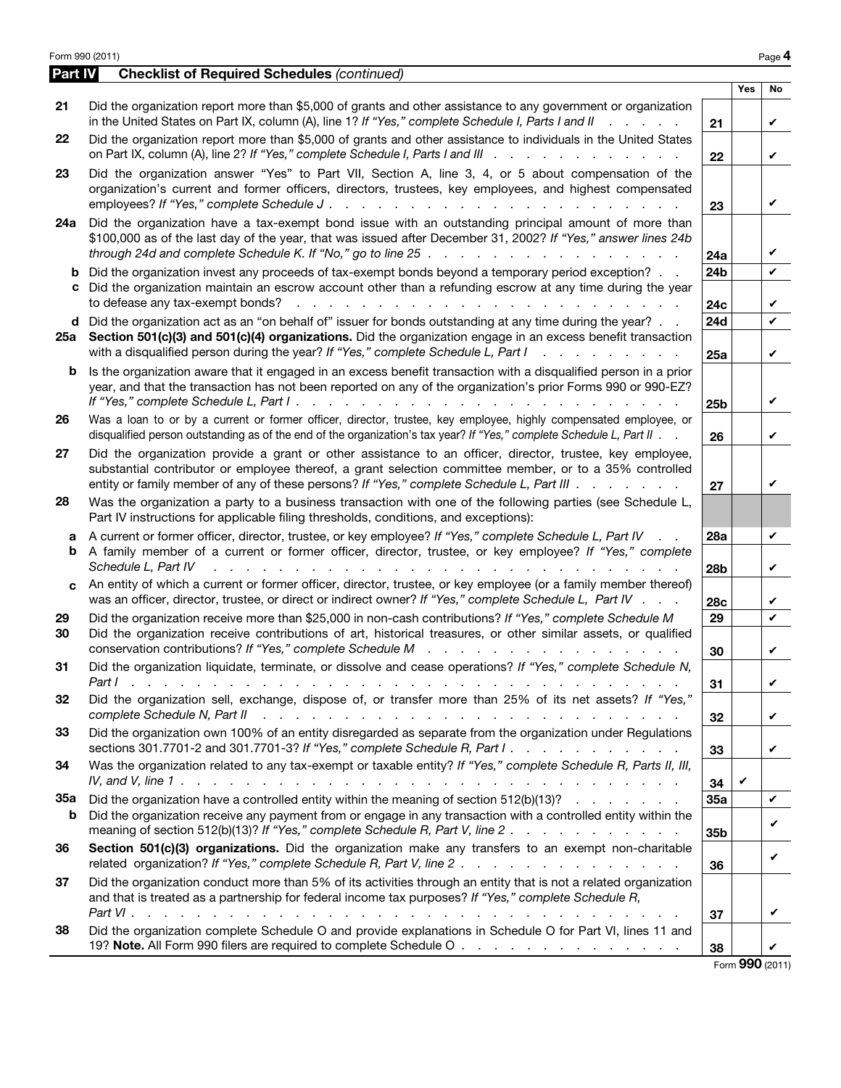Form 990 (2011) Page 4 Part IV Checklist of Required Schedules *(continued)* Yes No 21 Did the organization report more than \$5,000 of grants and other assistance to any government or organization in the United States on Part IX, column (A), line 1? *If "Yes," complete Schedule I, Parts I and II . . . . .* 21 22 Did the organization report more than \$5,000 of grants and other assistance to individuals in the United States on Part IX, column (A), line 2? *If "Yes," complete Schedule I, Parts I and III . . . . . . . . . . . .* 22 23 Did the organization answer "Yes" to Part VII, Section A, line 3, 4, or 5 about compensation of the organization's current and former officers, directors, trustees, key employees, and highest compensated employees? *If "Yes," complete Schedule J . . . . . . . . . . . . . . . . . . . . . .* 23 24a Did the organization have a tax-exempt bond issue with an outstanding principal amount of more than \$100,000 as of the last day of the year, that was issued after December 31, 2002? *If "Yes," answer lines 24b through 24d and complete Schedule K. If "No," go to line 25 . . . . . . . . . . . . . . . .* 24a **b** Did the organization invest any proceeds of tax-exempt bonds beyond a temporary period exception? . . 24b c Did the organization maintain an escrow account other than a refunding escrow at any time during the year to defease any tax-exempt bonds? . . . . . . . . . . . . . . . . . . . . . . . . 24c d Did the organization act as an "on behalf of" issuer for bonds outstanding at any time during the year? . . 24d 25a Section 501(c)(3) and 501(c)(4) organizations. Did the organization engage in an excess benefit transaction with a disqualified person during the year? *If "Yes," complete Schedule L, Part I . . . . . . . . .* 25a **b** Is the organization aware that it engaged in an excess benefit transaction with a disqualified person in a prior year, and that the transaction has not been reported on any of the organization's prior Forms 990 or 990-EZ? *If "Yes," complete Schedule L, Part I . . . . . . . . . . . . . . . . . . . . . . . .* 25b 26 Was a loan to or by a current or former officer, director, trustee, key employee, highly compensated employee, or disqualified person outstanding as of the end of the organization's tax year? *If "Yes," complete Schedule L, Part II . .* 26 27 Did the organization provide a grant or other assistance to an officer, director, trustee, key employee, substantial contributor or employee thereof, a grant selection committee member, or to a 35% controlled entity or family member of any of these persons? *If "Yes," complete Schedule L, Part III . . . . . . .* 27 28 Was the organization a party to a business transaction with one of the following parties (see Schedule L, Part IV instructions for applicable filing thresholds, conditions, and exceptions): a A current or former officer, director, trustee, or key employee? *If "Yes," complete Schedule L, Part IV . .* 28a b A family member of a current or former officer, director, trustee, or key employee? *If "Yes," complete*  Schedule L, Part IV and a subsequently contact the contract of the contract of the contract of the contract of the contract of the contract of the contract of the contract of the contract of the contract of the contract of c An entity of which a current or former officer, director, trustee, or key employee (or a family member thereof) was an officer, director, trustee, or direct or indirect owner? *If "Yes," complete Schedule L, Part IV .* . . . 28c 29 Did the organization receive more than \$25,000 in non-cash contributions? If "Yes," complete Schedule M 29 30 Did the organization receive contributions of art, historical treasures, or other similar assets, or qualified conservation contributions? *If "Yes," complete Schedule M . . . . . . . . . . . . . . . .* 30 31 Did the organization liquidate, terminate, or dissolve and cease operations? *If "Yes," complete Schedule N, Part I . . . . . . . . . . . . . . . . . . . . . . . . . . . . . . . . . .* 31 32 Did the organization sell, exchange, dispose of, or transfer more than 25% of its net assets? *If "Yes," complete Schedule N, Part II . . . . . . . . . . . . . . . . . . . . . . . . . .* 32 33 Did the organization own 100% of an entity disregarded as separate from the organization under Regulations sections 301.7701-2 and 301.7701-3? *If "Yes," complete Schedule R, Part I . . . . . . . . . . .* 33 34 Was the organization related to any tax-exempt or taxable entity? *If "Yes," complete Schedule R, Parts II, III,*  IV, and V, line 1  $\ldots$   $\ldots$   $\ldots$   $\ldots$   $\ldots$   $\ldots$   $\ldots$   $\ldots$   $\ldots$   $\ldots$   $\ldots$   $\sim$   $\ldots$   $\sim$   $\sim$  34 35 a Did the organization have a controlled entity within the meaning of section 512(b)(13)? *. . . . . . .* 35a b Did the organization receive any payment from or engage in any transaction with a controlled entity within the meaning of section 512(b)(13)? *If "Yes," complete Schedule R, Part V, line 2 . . . . . . . . . . .* 35b 36 Section 501(c)(3) organizations. Did the organization make any transfers to an exempt non-charitable related organization? *If "Yes," complete Schedule R, Part V, line 2 . . . . . . . . . . . . . .* 36 37 Did the organization conduct more than 5% of its activities through an entity that is not a related organization and that is treated as a partnership for federal income tax purposes? *If "Yes," complete Schedule R, Part VI . . . . . . . . . . . . . . . . . . . . . . . . . . . . . . . . . .* 37 38 Did the organization complete Schedule O and provide explanations in Schedule O for Part VI, lines 11 and 19? Note. All Form 990 filers are required to complete Schedule O . . . . . . . . . . . . . . . . . 38 ✔ ✔ ✔ ✔ ✔ ✔ ✔  $\mathbf v$ ✔ ✔ ✔ ✔ ✔ ✔ ✔ ✔ ✔ ✔ ✔ ✔ ✔  $\mathbf v$ ✔ ✔ ✔

Form 990 (2011)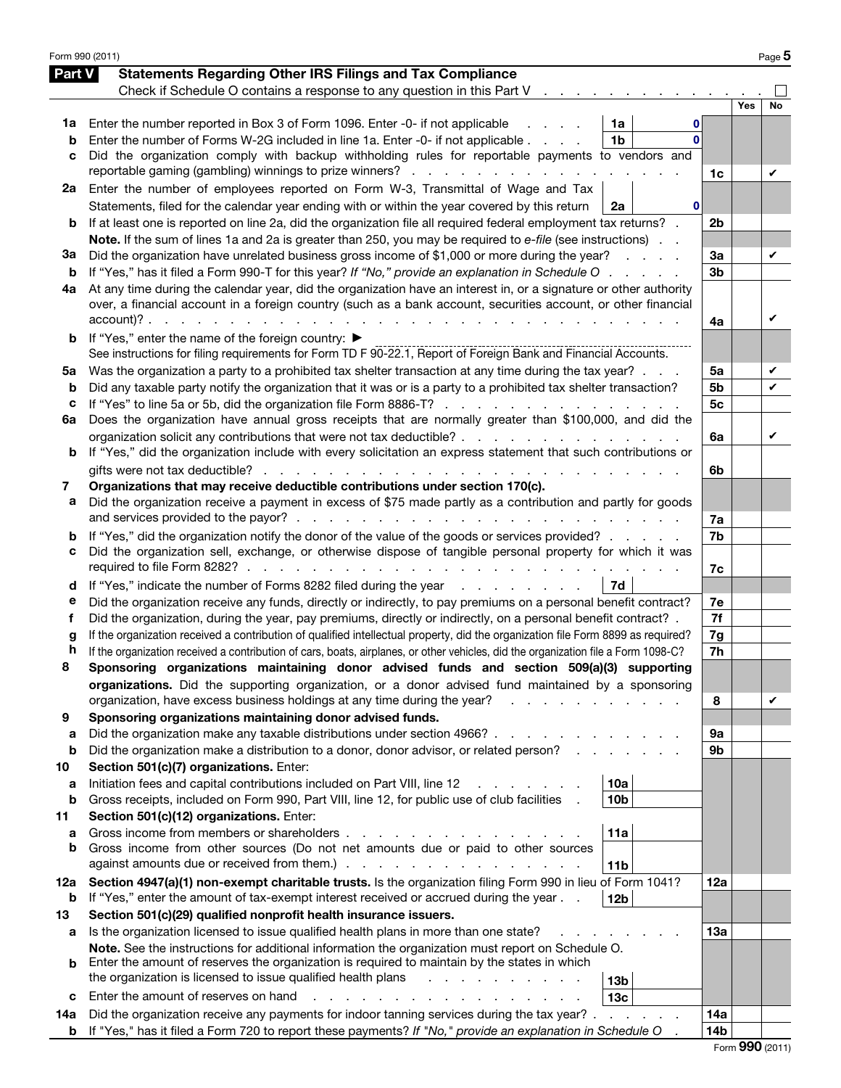|         | Form 990 (2011)                                                                                                                                                      |                |     | Page 5 |
|---------|----------------------------------------------------------------------------------------------------------------------------------------------------------------------|----------------|-----|--------|
| Part V  | <b>Statements Regarding Other IRS Filings and Tax Compliance</b>                                                                                                     |                |     |        |
|         | Check if Schedule O contains a response to any question in this Part V<br>$\mathbf{u} = \mathbf{u} + \mathbf{u} + \mathbf{u}$ .                                      |                |     |        |
|         |                                                                                                                                                                      |                | Yes | No     |
| 1a      | Enter the number reported in Box 3 of Form 1096. Enter -0- if not applicable<br>1a<br>0                                                                              |                |     |        |
| b       | Enter the number of Forms W-2G included in line 1a. Enter -0- if not applicable<br>1 <sub>b</sub><br><sup>0</sup>                                                    |                |     |        |
| с       | Did the organization comply with backup withholding rules for reportable payments to vendors and                                                                     |                |     |        |
|         | reportable gaming (gambling) winnings to prize winners?                                                                                                              | 1c             |     | V      |
| 2a      | Enter the number of employees reported on Form W-3, Transmittal of Wage and Tax                                                                                      |                |     |        |
|         | Statements, filed for the calendar year ending with or within the year covered by this return<br>2a<br>$\bf{0}$                                                      |                |     |        |
| b       | If at least one is reported on line 2a, did the organization file all required federal employment tax returns? .                                                     | 2 <sub>b</sub> |     |        |
|         | Note. If the sum of lines 1a and 2a is greater than 250, you may be required to e-file (see instructions).                                                           |                |     |        |
| За      | Did the organization have unrelated business gross income of \$1,000 or more during the year?<br><b>Carl Corporation</b>                                             | За             |     | V      |
| b       | If "Yes," has it filed a Form 990-T for this year? If "No," provide an explanation in Schedule O                                                                     | 3 <sub>b</sub> |     |        |
| 4a      | At any time during the calendar year, did the organization have an interest in, or a signature or other authority                                                    |                |     |        |
|         | over, a financial account in a foreign country (such as a bank account, securities account, or other financial                                                       |                |     | V      |
|         |                                                                                                                                                                      | 4a             |     |        |
| b       | If "Yes," enter the name of the foreign country: ▶<br>See instructions for filing requirements for Form TD F 90-22.1, Report of Foreign Bank and Financial Accounts. |                |     |        |
|         | Was the organization a party to a prohibited tax shelter transaction at any time during the tax year?                                                                | 5a             |     | V      |
| 5a<br>b | Did any taxable party notify the organization that it was or is a party to a prohibited tax shelter transaction?                                                     | 5b             |     | ✓      |
| с       | If "Yes" to line 5a or 5b, did the organization file Form 8886-T?                                                                                                    | 5 <sub>c</sub> |     |        |
| 6a      | Does the organization have annual gross receipts that are normally greater than \$100,000, and did the                                                               |                |     |        |
|         | organization solicit any contributions that were not tax deductible?                                                                                                 | 6a             |     | V      |
| b       | If "Yes," did the organization include with every solicitation an express statement that such contributions or                                                       |                |     |        |
|         | gifts were not tax deductible?                                                                                                                                       | 6b             |     |        |
| 7       | Organizations that may receive deductible contributions under section 170(c).                                                                                        |                |     |        |
| а       | Did the organization receive a payment in excess of \$75 made partly as a contribution and partly for goods                                                          |                |     |        |
|         |                                                                                                                                                                      | 7a             |     |        |
| b       | If "Yes," did the organization notify the donor of the value of the goods or services provided?                                                                      | 7b             |     |        |
| с       | Did the organization sell, exchange, or otherwise dispose of tangible personal property for which it was                                                             |                |     |        |
|         |                                                                                                                                                                      | 7c             |     |        |
| d       | If "Yes," indicate the number of Forms 8282 filed during the year<br>7d                                                                                              |                |     |        |
| е       | Did the organization receive any funds, directly or indirectly, to pay premiums on a personal benefit contract?                                                      | 7e             |     |        |
| f       | Did the organization, during the year, pay premiums, directly or indirectly, on a personal benefit contract? .                                                       | 7f             |     |        |
| g       | If the organization received a contribution of qualified intellectual property, did the organization file Form 8899 as required?                                     | 7g             |     |        |
| h       | If the organization received a contribution of cars, boats, airplanes, or other vehicles, did the organization file a Form 1098-C?                                   | 7 <sub>h</sub> |     |        |
| ໟ       | Sponsoring organizations maintaining donor advised funds and section 509(a)(3) supporting                                                                            |                |     |        |
|         | organizations. Did the supporting organization, or a donor advised fund maintained by a sponsoring                                                                   |                |     |        |
|         | organization, have excess business holdings at any time during the year?                                                                                             | 8              |     | V      |
| 9       | Sponsoring organizations maintaining donor advised funds.                                                                                                            |                |     |        |
| a<br>b  | Did the organization make any taxable distributions under section 4966?<br>Did the organization make a distribution to a donor, donor advisor, or related person?    | 9а<br>9b       |     |        |
| 10      | Section 501(c)(7) organizations. Enter:                                                                                                                              |                |     |        |
| a       | 10a<br>Initiation fees and capital contributions included on Part VIII, line 12                                                                                      |                |     |        |
| b       | 10 <sub>b</sub><br>Gross receipts, included on Form 990, Part VIII, line 12, for public use of club facilities                                                       |                |     |        |
| 11      | Section 501(c)(12) organizations. Enter:                                                                                                                             |                |     |        |
| a       | Gross income from members or shareholders.<br>11a                                                                                                                    |                |     |        |
| b       | Gross income from other sources (Do not net amounts due or paid to other sources                                                                                     |                |     |        |
|         | against amounts due or received from them.).<br>the contract of the contract of the con-<br>11 <sub>b</sub>                                                          |                |     |        |
| 12a     | Section 4947(a)(1) non-exempt charitable trusts. Is the organization filing Form 990 in lieu of Form 1041?                                                           | 12a            |     |        |
| b       | If "Yes," enter the amount of tax-exempt interest received or accrued during the year<br>12 <sub>b</sub>                                                             |                |     |        |
| 13      | Section 501(c)(29) qualified nonprofit health insurance issuers.                                                                                                     |                |     |        |
| а       | Is the organization licensed to issue qualified health plans in more than one state?                                                                                 | 13а            |     |        |
|         | Note. See the instructions for additional information the organization must report on Schedule O.                                                                    |                |     |        |
| b       | Enter the amount of reserves the organization is required to maintain by the states in which                                                                         |                |     |        |
|         | the organization is licensed to issue qualified health plans<br>13 <sub>b</sub>                                                                                      |                |     |        |
| c       | Enter the amount of reserves on hand<br>13c                                                                                                                          |                |     |        |
| 14a     | Did the organization receive any payments for indoor tanning services during the tax year?.                                                                          | 14a            |     |        |
| b       | If "Yes," has it filed a Form 720 to report these payments? If "No," provide an explanation in Schedule O                                                            | 14b            |     |        |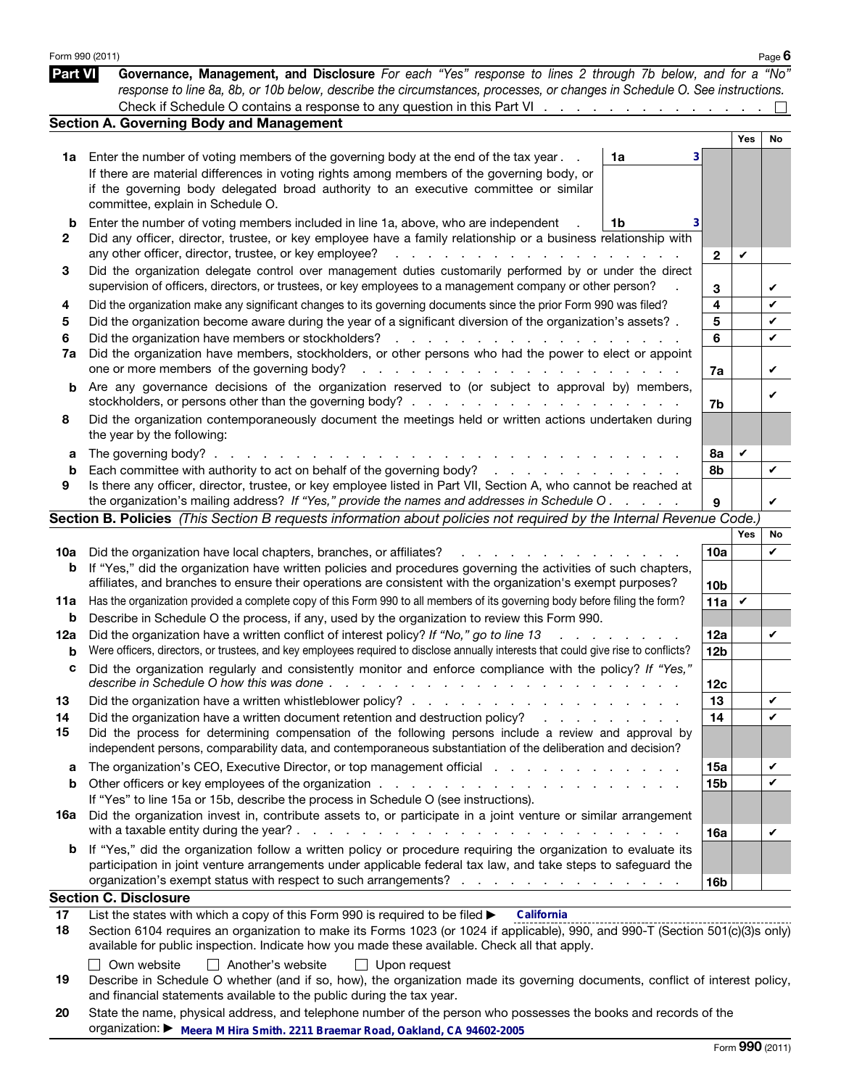|                | Form 990 (2011)                                                                                                                                                                                                                                                                                                                                                                                                                                                           |                                     |                        |            | Page $6$     |
|----------------|---------------------------------------------------------------------------------------------------------------------------------------------------------------------------------------------------------------------------------------------------------------------------------------------------------------------------------------------------------------------------------------------------------------------------------------------------------------------------|-------------------------------------|------------------------|------------|--------------|
| <b>Part VI</b> | Governance, Management, and Disclosure For each "Yes" response to lines 2 through 7b below, and for a "No"<br>response to line 8a, 8b, or 10b below, describe the circumstances, processes, or changes in Schedule O. See instructions.                                                                                                                                                                                                                                   |                                     |                        |            |              |
|                | Check if Schedule O contains a response to any question in this Part VI                                                                                                                                                                                                                                                                                                                                                                                                   |                                     |                        |            |              |
|                | <b>Section A. Governing Body and Management</b>                                                                                                                                                                                                                                                                                                                                                                                                                           |                                     |                        |            |              |
|                |                                                                                                                                                                                                                                                                                                                                                                                                                                                                           |                                     |                        | <b>Yes</b> | No           |
| 1a             | Enter the number of voting members of the governing body at the end of the tax year.                                                                                                                                                                                                                                                                                                                                                                                      | 1a<br>3                             |                        |            |              |
|                | If there are material differences in voting rights among members of the governing body, or<br>if the governing body delegated broad authority to an executive committee or similar<br>committee, explain in Schedule O.                                                                                                                                                                                                                                                   |                                     |                        |            |              |
| b<br>2         | Enter the number of voting members included in line 1a, above, who are independent<br>Did any officer, director, trustee, or key employee have a family relationship or a business relationship with<br>any other officer, director, trustee, or key employee?                                                                                                                                                                                                            | 1b                                  | $\mathbf{2}$           | V          |              |
| 3              | Did the organization delegate control over management duties customarily performed by or under the direct<br>supervision of officers, directors, or trustees, or key employees to a management company or other person?                                                                                                                                                                                                                                                   |                                     | 3                      |            | V            |
| 4              | Did the organization make any significant changes to its governing documents since the prior Form 990 was filed?                                                                                                                                                                                                                                                                                                                                                          |                                     | 4                      |            | V            |
| 5              | Did the organization become aware during the year of a significant diversion of the organization's assets? .                                                                                                                                                                                                                                                                                                                                                              |                                     | 5                      |            | V            |
| 6              |                                                                                                                                                                                                                                                                                                                                                                                                                                                                           |                                     | 6                      |            | V            |
| 7a             | Did the organization have members, stockholders, or other persons who had the power to elect or appoint<br>one or more members of the governing body?<br>المنافذ والمنافي والمنافي والمنافي والمنافي والمنافي والمنافي والمنافي                                                                                                                                                                                                                                           |                                     | 7a                     |            | V            |
| b              | Are any governance decisions of the organization reserved to (or subject to approval by) members,                                                                                                                                                                                                                                                                                                                                                                         |                                     | 7b                     |            | V            |
| 8              | Did the organization contemporaneously document the meetings held or written actions undertaken during<br>the year by the following:                                                                                                                                                                                                                                                                                                                                      |                                     |                        |            |              |
| а              | The governing body? $\therefore$ $\therefore$ $\therefore$ $\therefore$ $\therefore$ $\therefore$ $\therefore$ $\therefore$ $\therefore$ $\therefore$ $\therefore$ $\therefore$ $\therefore$ $\therefore$ $\therefore$ $\therefore$ $\therefore$ $\therefore$ $\therefore$ $\therefore$ $\therefore$ $\therefore$ $\therefore$ $\therefore$ $\therefore$ $\therefore$ $\therefore$ $\therefore$ $\therefore$ $\therefore$ $\therefore$ $\therefore$ $\therefore$ $\there$ |                                     | 8а                     | V          |              |
| b              |                                                                                                                                                                                                                                                                                                                                                                                                                                                                           |                                     | 8b                     |            | V            |
| 9              | Is there any officer, director, trustee, or key employee listed in Part VII, Section A, who cannot be reached at<br>the organization's mailing address? If "Yes," provide the names and addresses in Schedule O.                                                                                                                                                                                                                                                          |                                     | 9                      |            | V            |
|                | Section B. Policies (This Section B requests information about policies not required by the Internal Revenue Code.)                                                                                                                                                                                                                                                                                                                                                       |                                     |                        |            |              |
|                |                                                                                                                                                                                                                                                                                                                                                                                                                                                                           |                                     |                        | Yes        | No           |
| 10a            | Did the organization have local chapters, branches, or affiliates?<br>and a strong and a                                                                                                                                                                                                                                                                                                                                                                                  |                                     | 10a                    |            | V            |
| b              | If "Yes," did the organization have written policies and procedures governing the activities of such chapters,<br>affiliates, and branches to ensure their operations are consistent with the organization's exempt purposes?                                                                                                                                                                                                                                             |                                     |                        |            |              |
| 11a            | Has the organization provided a complete copy of this Form 990 to all members of its governing body before filing the form?                                                                                                                                                                                                                                                                                                                                               |                                     | 10 <sub>b</sub><br>11a | V          |              |
| b              | Describe in Schedule O the process, if any, used by the organization to review this Form 990.                                                                                                                                                                                                                                                                                                                                                                             |                                     |                        |            |              |
| 12a            | Did the organization have a written conflict of interest policy? If "No," go to line 13<br>$\mathbf{r}$ and $\mathbf{r}$                                                                                                                                                                                                                                                                                                                                                  |                                     | 12a                    |            | V            |
| b              | Were officers, directors, or trustees, and key employees required to disclose annually interests that could give rise to conflicts?                                                                                                                                                                                                                                                                                                                                       |                                     | 12 <sub>b</sub>        |            |              |
|                | Did the organization regularly and consistently monitor and enforce compliance with the policy? If "Yes,                                                                                                                                                                                                                                                                                                                                                                  |                                     | 12c                    |            |              |
| 13             |                                                                                                                                                                                                                                                                                                                                                                                                                                                                           |                                     | 13                     |            | V            |
| 14             | Did the organization have a written document retention and destruction policy?                                                                                                                                                                                                                                                                                                                                                                                            | and the contract of the contract of | 14                     |            | V            |
| 15             | Did the process for determining compensation of the following persons include a review and approval by<br>independent persons, comparability data, and contemporaneous substantiation of the deliberation and decision?                                                                                                                                                                                                                                                   |                                     |                        |            |              |
| a              | The organization's CEO, Executive Director, or top management official enters and contact the organization's CEO, Executive Director, or top management official                                                                                                                                                                                                                                                                                                          |                                     | 15a                    |            | V            |
| b              |                                                                                                                                                                                                                                                                                                                                                                                                                                                                           |                                     | 15 <sub>b</sub>        |            | $\checkmark$ |
|                | If "Yes" to line 15a or 15b, describe the process in Schedule O (see instructions).                                                                                                                                                                                                                                                                                                                                                                                       |                                     |                        |            |              |
| 16a            | Did the organization invest in, contribute assets to, or participate in a joint venture or similar arrangement                                                                                                                                                                                                                                                                                                                                                            |                                     | 16a                    |            | V            |
| b              | If "Yes," did the organization follow a written policy or procedure requiring the organization to evaluate its<br>participation in joint venture arrangements under applicable federal tax law, and take steps to safeguard the<br>organization's exempt status with respect to such arrangements?                                                                                                                                                                        |                                     | 16 <sub>b</sub>        |            |              |
|                | <b>Section C. Disclosure</b>                                                                                                                                                                                                                                                                                                                                                                                                                                              |                                     |                        |            |              |
| 17             | List the states with which a copy of this Form 990 is required to be filed ><br>California                                                                                                                                                                                                                                                                                                                                                                                |                                     |                        |            |              |
| 18             | Section 6104 requires an organization to make its Forms 1023 (or 1024 if applicable), 990, and 990-T (Section 501(c)(3)s only)<br>available for public inspection. Indicate how you made these available. Check all that apply.                                                                                                                                                                                                                                           |                                     |                        |            |              |

| ∃ Own website | $\Box$ Another's website | $\Box$ Upon request |
|---------------|--------------------------|---------------------|
|               |                          |                     |

<sup>19</sup> Describe in Schedule O whether (and if so, how), the organization made its governing documents, conflict of interest policy, and financial statements available to the public during the tax year.

<sup>20</sup> State the name, physical address, and telephone number of the person who possesses the books and records of the organization: ▶ **Meera M Hira Smith. 2211 Braemar Road, Oakland, CA 94602-2005**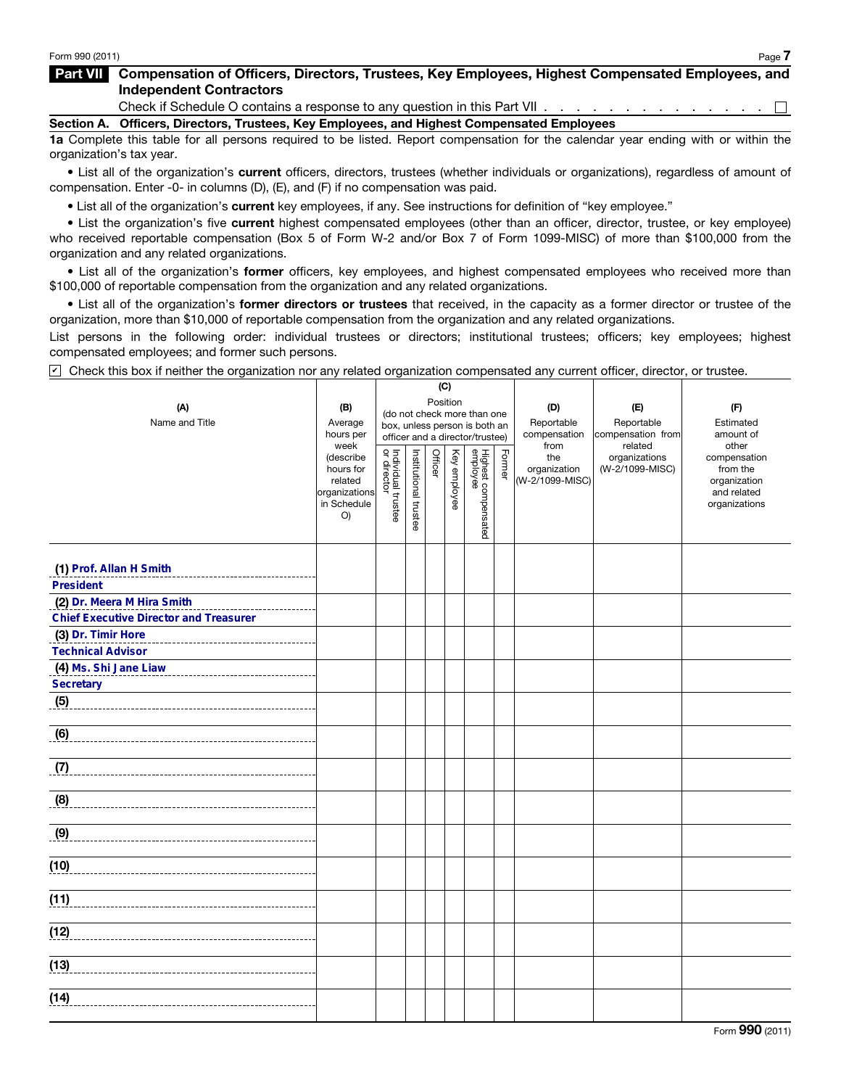## Part VII Compensation of Officers, Directors, Trustees, Key Employees, Highest Compensated Employees, and Independent Contractors

Check if Schedule O contains a response to any question in this Part VII . . . . . . . . . . . . . . .  $\Box$ 

Section A. Officers, Directors, Trustees, Key Employees, and Highest Compensated Employees

1a Complete this table for all persons required to be listed. Report compensation for the calendar year ending with or within the organization's tax year.

• List all of the organization's current officers, directors, trustees (whether individuals or organizations), regardless of amount of compensation. Enter -0- in columns (D), (E), and (F) if no compensation was paid.

• List all of the organization's current key employees, if any. See instructions for definition of "key employee."

• List the organization's five current highest compensated employees (other than an officer, director, trustee, or key employee) who received reportable compensation (Box 5 of Form W-2 and/or Box 7 of Form 1099-MISC) of more than \$100,000 from the organization and any related organizations.

• List all of the organization's former officers, key employees, and highest compensated employees who received more than \$100,000 of reportable compensation from the organization and any related organizations.

• List all of the organization's former directors or trustees that received, in the capacity as a former director or trustee of the organization, more than \$10,000 of reportable compensation from the organization and any related organizations.

List persons in the following order: individual trustees or directors; institutional trustees; officers; key employees; highest compensated employees; and former such persons.

 $\triangledown$  Check this box if neither the organization nor any related organization compensated any current officer, director, or trustee.

|                                               |                        |                                   |                       | (C)     |              |                                                                  |        |                     |                                  |                          |
|-----------------------------------------------|------------------------|-----------------------------------|-----------------------|---------|--------------|------------------------------------------------------------------|--------|---------------------|----------------------------------|--------------------------|
| (A)                                           | (B)                    | Position                          |                       | (D)     | (E)          | (F)                                                              |        |                     |                                  |                          |
| Name and Title                                | Average                |                                   |                       |         |              | (do not check more than one                                      |        | Reportable          | Reportable                       | Estimated                |
|                                               | hours per              |                                   |                       |         |              | box, unless person is both an<br>officer and a director/trustee) |        | compensation        | compensation from                | amount of                |
|                                               | week                   |                                   |                       |         |              |                                                                  |        | from                | related                          | other                    |
|                                               | (describe<br>hours for |                                   |                       | Officer |              |                                                                  | Former | the<br>organization | organizations<br>(W-2/1099-MISC) | compensation<br>from the |
|                                               | related                |                                   |                       |         |              |                                                                  |        | (W-2/1099-MISC)     |                                  | organization             |
|                                               | organizations          |                                   |                       |         | Key employee |                                                                  |        |                     |                                  | and related              |
|                                               | in Schedule            | Individual trustee<br>or director |                       |         |              |                                                                  |        |                     |                                  | organizations            |
|                                               | O                      |                                   | Institutional trustee |         |              | Highest compensated<br>employee                                  |        |                     |                                  |                          |
|                                               |                        |                                   |                       |         |              |                                                                  |        |                     |                                  |                          |
|                                               |                        |                                   |                       |         |              |                                                                  |        |                     |                                  |                          |
| (1) Prof. Allan H Smith                       |                        |                                   |                       |         |              |                                                                  |        |                     |                                  |                          |
| <b>President</b>                              |                        |                                   |                       |         |              |                                                                  |        |                     |                                  |                          |
| (2) Dr. Meera M Hira Smith                    |                        |                                   |                       |         |              |                                                                  |        |                     |                                  |                          |
| <b>Chief Executive Director and Treasurer</b> |                        |                                   |                       |         |              |                                                                  |        |                     |                                  |                          |
| (3) Dr. Timir Hore                            |                        |                                   |                       |         |              |                                                                  |        |                     |                                  |                          |
| <b>Technical Advisor</b>                      |                        |                                   |                       |         |              |                                                                  |        |                     |                                  |                          |
| (4) Ms. Shi Jane Liaw                         |                        |                                   |                       |         |              |                                                                  |        |                     |                                  |                          |
| <b>Secretary</b>                              |                        |                                   |                       |         |              |                                                                  |        |                     |                                  |                          |
| (5)                                           |                        |                                   |                       |         |              |                                                                  |        |                     |                                  |                          |
|                                               |                        |                                   |                       |         |              |                                                                  |        |                     |                                  |                          |
| (6)                                           |                        |                                   |                       |         |              |                                                                  |        |                     |                                  |                          |
|                                               |                        |                                   |                       |         |              |                                                                  |        |                     |                                  |                          |
| (7)                                           |                        |                                   |                       |         |              |                                                                  |        |                     |                                  |                          |
|                                               |                        |                                   |                       |         |              |                                                                  |        |                     |                                  |                          |
| (8)                                           |                        |                                   |                       |         |              |                                                                  |        |                     |                                  |                          |
|                                               |                        |                                   |                       |         |              |                                                                  |        |                     |                                  |                          |
| (9)                                           |                        |                                   |                       |         |              |                                                                  |        |                     |                                  |                          |
|                                               |                        |                                   |                       |         |              |                                                                  |        |                     |                                  |                          |
| (10)                                          |                        |                                   |                       |         |              |                                                                  |        |                     |                                  |                          |
|                                               |                        |                                   |                       |         |              |                                                                  |        |                     |                                  |                          |
| (11)                                          |                        |                                   |                       |         |              |                                                                  |        |                     |                                  |                          |
|                                               |                        |                                   |                       |         |              |                                                                  |        |                     |                                  |                          |
| (12)                                          |                        |                                   |                       |         |              |                                                                  |        |                     |                                  |                          |
|                                               |                        |                                   |                       |         |              |                                                                  |        |                     |                                  |                          |
| (13)                                          |                        |                                   |                       |         |              |                                                                  |        |                     |                                  |                          |
|                                               |                        |                                   |                       |         |              |                                                                  |        |                     |                                  |                          |
| (14)                                          |                        |                                   |                       |         |              |                                                                  |        |                     |                                  |                          |
|                                               |                        |                                   |                       |         |              |                                                                  |        |                     |                                  |                          |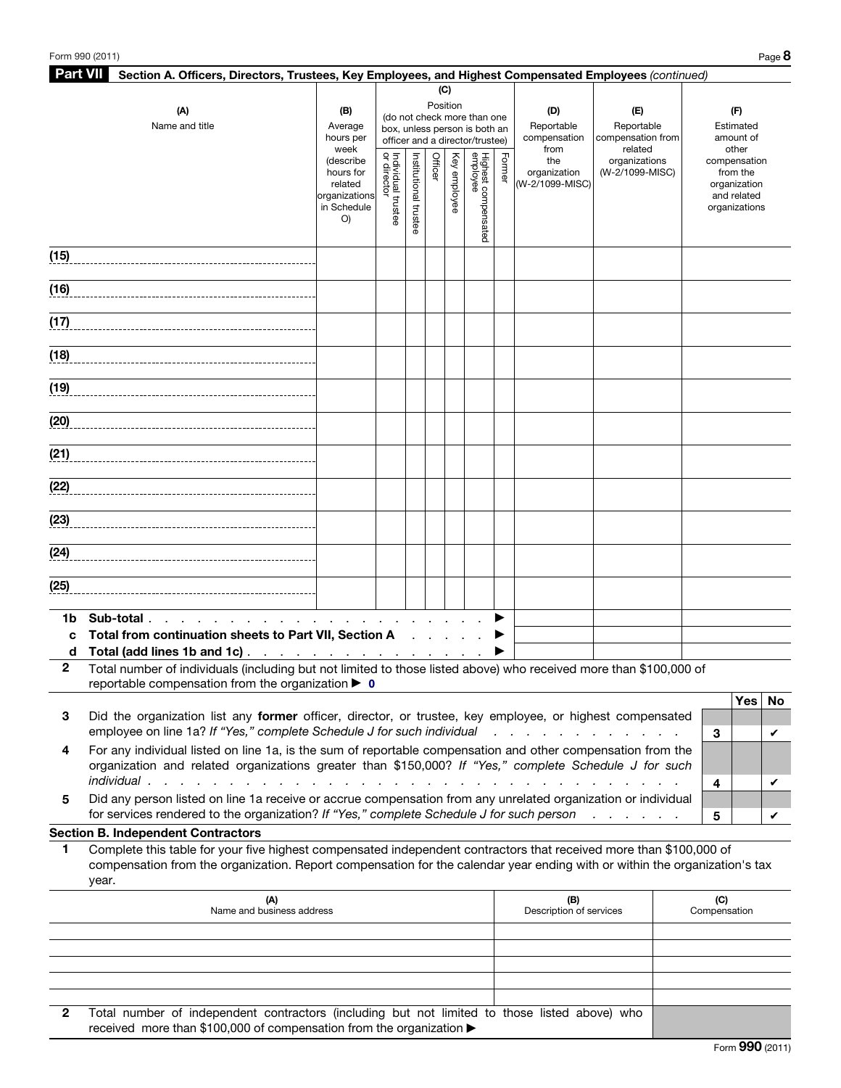| <b>Part VII</b><br>Section A. Officers, Directors, Trustees, Key Employees, and Highest Compensated Employees (continued) |                                                                                                                            |                                                      |                                   |                       |                      |                              |                                 |                    |                                 |                                            |              |                          |   |
|---------------------------------------------------------------------------------------------------------------------------|----------------------------------------------------------------------------------------------------------------------------|------------------------------------------------------|-----------------------------------|-----------------------|----------------------|------------------------------|---------------------------------|--------------------|---------------------------------|--------------------------------------------|--------------|--------------------------|---|
|                                                                                                                           |                                                                                                                            |                                                      |                                   |                       | (C)                  |                              |                                 |                    |                                 |                                            |              |                          |   |
|                                                                                                                           | (A)                                                                                                                        | (B)                                                  |                                   |                       | Position             |                              | (do not check more than one     |                    | (D)                             | (E)                                        |              | (F)                      |   |
|                                                                                                                           | Name and title                                                                                                             | Average                                              |                                   |                       |                      |                              | box, unless person is both an   |                    | Reportable                      | Reportable                                 |              | Estimated                |   |
|                                                                                                                           |                                                                                                                            | hours per<br>officer and a director/trustee)<br>week |                                   |                       | compensation<br>from | compensation from<br>related |                                 | amount of<br>other |                                 |                                            |              |                          |   |
|                                                                                                                           |                                                                                                                            | (describe                                            | Individual trustee<br>or director | Institutional trustee | Officer              | Key employee                 | Highest compensated<br>employee | Former             | the                             | organizations                              |              | compensation             |   |
|                                                                                                                           |                                                                                                                            | hours for<br>related                                 |                                   |                       |                      |                              |                                 |                    | organization<br>(W-2/1099-MISC) | (W-2/1099-MISC)                            |              | from the<br>organization |   |
|                                                                                                                           |                                                                                                                            | organizations                                        |                                   |                       |                      |                              |                                 |                    |                                 |                                            |              | and related              |   |
|                                                                                                                           |                                                                                                                            | in Schedule<br>O()                                   |                                   |                       |                      |                              |                                 |                    |                                 |                                            |              | organizations            |   |
|                                                                                                                           |                                                                                                                            |                                                      |                                   |                       |                      |                              |                                 |                    |                                 |                                            |              |                          |   |
|                                                                                                                           |                                                                                                                            |                                                      |                                   |                       |                      |                              |                                 |                    |                                 |                                            |              |                          |   |
| (15)                                                                                                                      |                                                                                                                            |                                                      |                                   |                       |                      |                              |                                 |                    |                                 |                                            |              |                          |   |
|                                                                                                                           |                                                                                                                            |                                                      |                                   |                       |                      |                              |                                 |                    |                                 |                                            |              |                          |   |
| (16)                                                                                                                      |                                                                                                                            |                                                      |                                   |                       |                      |                              |                                 |                    |                                 |                                            |              |                          |   |
| (17)                                                                                                                      |                                                                                                                            |                                                      |                                   |                       |                      |                              |                                 |                    |                                 |                                            |              |                          |   |
|                                                                                                                           |                                                                                                                            |                                                      |                                   |                       |                      |                              |                                 |                    |                                 |                                            |              |                          |   |
| (18)                                                                                                                      |                                                                                                                            |                                                      |                                   |                       |                      |                              |                                 |                    |                                 |                                            |              |                          |   |
|                                                                                                                           |                                                                                                                            |                                                      |                                   |                       |                      |                              |                                 |                    |                                 |                                            |              |                          |   |
|                                                                                                                           | (19)                                                                                                                       |                                                      |                                   |                       |                      |                              |                                 |                    |                                 |                                            |              |                          |   |
|                                                                                                                           |                                                                                                                            |                                                      |                                   |                       |                      |                              |                                 |                    |                                 |                                            |              |                          |   |
| (20)                                                                                                                      |                                                                                                                            |                                                      |                                   |                       |                      |                              |                                 |                    |                                 |                                            |              |                          |   |
|                                                                                                                           |                                                                                                                            |                                                      |                                   |                       |                      |                              |                                 |                    |                                 |                                            |              |                          |   |
| (21)                                                                                                                      |                                                                                                                            |                                                      |                                   |                       |                      |                              |                                 |                    |                                 |                                            |              |                          |   |
|                                                                                                                           |                                                                                                                            |                                                      |                                   |                       |                      |                              |                                 |                    |                                 |                                            |              |                          |   |
| (22)                                                                                                                      |                                                                                                                            |                                                      |                                   |                       |                      |                              |                                 |                    |                                 |                                            |              |                          |   |
|                                                                                                                           |                                                                                                                            |                                                      |                                   |                       |                      |                              |                                 |                    |                                 |                                            |              |                          |   |
| (23)                                                                                                                      |                                                                                                                            |                                                      |                                   |                       |                      |                              |                                 |                    |                                 |                                            |              |                          |   |
|                                                                                                                           |                                                                                                                            |                                                      |                                   |                       |                      |                              |                                 |                    |                                 |                                            |              |                          |   |
| (24)                                                                                                                      |                                                                                                                            |                                                      |                                   |                       |                      |                              |                                 |                    |                                 |                                            |              |                          |   |
|                                                                                                                           |                                                                                                                            |                                                      |                                   |                       |                      |                              |                                 |                    |                                 |                                            |              |                          |   |
| (25)                                                                                                                      |                                                                                                                            |                                                      |                                   |                       |                      |                              |                                 |                    |                                 |                                            |              |                          |   |
|                                                                                                                           |                                                                                                                            |                                                      |                                   |                       |                      |                              |                                 |                    |                                 |                                            |              |                          |   |
| 1b                                                                                                                        | Sub-total                                                                                                                  |                                                      |                                   |                       |                      |                              |                                 |                    |                                 |                                            |              |                          |   |
| c                                                                                                                         | Total from continuation sheets to Part VII, Section A                                                                      |                                                      |                                   |                       |                      |                              |                                 |                    |                                 |                                            |              |                          |   |
| d                                                                                                                         | Total (add lines 1b and 1c).<br>the contract of the contract of the contract of                                            |                                                      |                                   |                       |                      |                              |                                 |                    |                                 |                                            |              |                          |   |
| $\mathbf{2}$                                                                                                              | Total number of individuals (including but not limited to those listed above) who received more than \$100,000 of          |                                                      |                                   |                       |                      |                              |                                 |                    |                                 |                                            |              |                          |   |
|                                                                                                                           | reportable compensation from the organization $\blacktriangleright$ 0                                                      |                                                      |                                   |                       |                      |                              |                                 |                    |                                 |                                            |              | Yes   No                 |   |
| 3                                                                                                                         | Did the organization list any former officer, director, or trustee, key employee, or highest compensated                   |                                                      |                                   |                       |                      |                              |                                 |                    |                                 |                                            |              |                          |   |
|                                                                                                                           | employee on line 1a? If "Yes," complete Schedule J for such individual                                                     |                                                      |                                   |                       |                      |                              |                                 |                    |                                 |                                            | 3            |                          | V |
| 4                                                                                                                         | For any individual listed on line 1a, is the sum of reportable compensation and other compensation from the                |                                                      |                                   |                       |                      |                              |                                 |                    |                                 |                                            |              |                          |   |
|                                                                                                                           | organization and related organizations greater than \$150,000? If "Yes," complete Schedule J for such                      |                                                      |                                   |                       |                      |                              |                                 |                    |                                 |                                            |              |                          |   |
|                                                                                                                           | individual.                                                                                                                |                                                      |                                   |                       |                      |                              |                                 |                    |                                 |                                            | 4            |                          | V |
| 5                                                                                                                         | Did any person listed on line 1a receive or accrue compensation from any unrelated organization or individual              |                                                      |                                   |                       |                      |                              |                                 |                    |                                 |                                            |              |                          |   |
|                                                                                                                           | for services rendered to the organization? If "Yes," complete Schedule J for such person                                   |                                                      |                                   |                       |                      |                              |                                 |                    |                                 | $\mathbf{r}$ , $\mathbf{r}$ , $\mathbf{r}$ | 5            |                          | V |
|                                                                                                                           | <b>Section B. Independent Contractors</b>                                                                                  |                                                      |                                   |                       |                      |                              |                                 |                    |                                 |                                            |              |                          |   |
| 1                                                                                                                         | Complete this table for your five highest compensated independent contractors that received more than \$100,000 of         |                                                      |                                   |                       |                      |                              |                                 |                    |                                 |                                            |              |                          |   |
|                                                                                                                           | compensation from the organization. Report compensation for the calendar year ending with or within the organization's tax |                                                      |                                   |                       |                      |                              |                                 |                    |                                 |                                            |              |                          |   |
|                                                                                                                           | year.                                                                                                                      |                                                      |                                   |                       |                      |                              |                                 |                    |                                 |                                            |              |                          |   |
|                                                                                                                           | (A)                                                                                                                        |                                                      |                                   |                       |                      |                              |                                 |                    | (B)                             |                                            | (C)          |                          |   |
|                                                                                                                           | Name and business address                                                                                                  |                                                      |                                   |                       |                      |                              |                                 |                    | Description of services         |                                            | Compensation |                          |   |
|                                                                                                                           |                                                                                                                            |                                                      |                                   |                       |                      |                              |                                 |                    |                                 |                                            |              |                          |   |
|                                                                                                                           |                                                                                                                            |                                                      |                                   |                       |                      |                              |                                 |                    |                                 |                                            |              |                          |   |
|                                                                                                                           |                                                                                                                            |                                                      |                                   |                       |                      |                              |                                 |                    |                                 |                                            |              |                          |   |

2 Total number of independent contractors (including but not limited to those listed above) who received more than \$100,000 of compensation from the organization ▶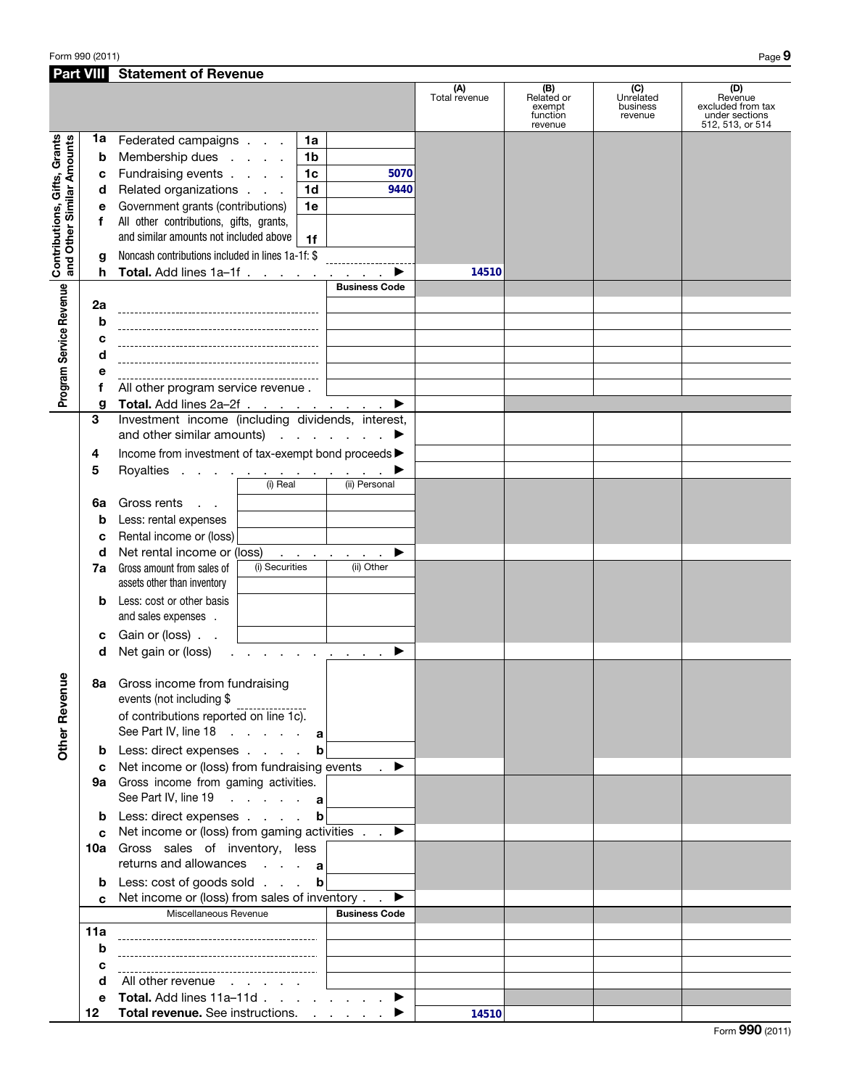Form 990 (2011) Page  $9$ 

| <b>Part VIII</b>                                          |                 | <b>Statement of Revenue</b>                                                                                    |                      |                                                    |                                         |                                                                           |
|-----------------------------------------------------------|-----------------|----------------------------------------------------------------------------------------------------------------|----------------------|----------------------------------------------------|-----------------------------------------|---------------------------------------------------------------------------|
|                                                           |                 |                                                                                                                | (A)<br>Total revenue | (B)<br>Related or<br>exempt<br>function<br>revenue | (C)<br>Unrelated<br>business<br>revenue | (D)<br>Revenue<br>excluded from tax<br>under sections<br>512, 513, or 514 |
|                                                           | 1a              | Federated campaigns<br>1a                                                                                      |                      |                                                    |                                         |                                                                           |
|                                                           | b               | Membership dues<br>1 <sub>b</sub>                                                                              |                      |                                                    |                                         |                                                                           |
| Contributions, Gifts, Grants<br>and Other Similar Amounts | c               | Fundraising events<br>1 <sub>c</sub><br>5070                                                                   |                      |                                                    |                                         |                                                                           |
|                                                           | d               | Related organizations<br>1 <sub>d</sub><br>9440                                                                |                      |                                                    |                                         |                                                                           |
|                                                           | е               | Government grants (contributions)<br>1e                                                                        |                      |                                                    |                                         |                                                                           |
|                                                           | f               | All other contributions, gifts, grants,                                                                        |                      |                                                    |                                         |                                                                           |
|                                                           |                 | and similar amounts not included above                                                                         |                      |                                                    |                                         |                                                                           |
|                                                           |                 | 1f<br>Noncash contributions included in lines 1a-1f: \$                                                        |                      |                                                    |                                         |                                                                           |
|                                                           | g               |                                                                                                                |                      |                                                    |                                         |                                                                           |
|                                                           | h               | <b>Total.</b> Add lines $1a-1f$ <u>.</u><br>▶<br><b>Business Code</b>                                          | 14510                |                                                    |                                         |                                                                           |
|                                                           |                 |                                                                                                                |                      |                                                    |                                         |                                                                           |
|                                                           | 2a              |                                                                                                                |                      |                                                    |                                         |                                                                           |
|                                                           | b               |                                                                                                                |                      |                                                    |                                         |                                                                           |
|                                                           | c               |                                                                                                                |                      |                                                    |                                         |                                                                           |
|                                                           | d               |                                                                                                                |                      |                                                    |                                         |                                                                           |
|                                                           | е               |                                                                                                                |                      |                                                    |                                         |                                                                           |
| Program Service Revenue                                   | f               | All other program service revenue.                                                                             |                      |                                                    |                                         |                                                                           |
|                                                           | g               | <b>Total.</b> Add lines $2a-2f$ <u>.</u><br>▶                                                                  |                      |                                                    |                                         |                                                                           |
|                                                           | 3               | Investment income (including dividends, interest,                                                              |                      |                                                    |                                         |                                                                           |
|                                                           |                 | and other similar amounts) $\cdots$ $\cdots$<br>▶                                                              |                      |                                                    |                                         |                                                                           |
|                                                           | 4               | Income from investment of tax-exempt bond proceeds >                                                           |                      |                                                    |                                         |                                                                           |
|                                                           | 5               |                                                                                                                |                      |                                                    |                                         |                                                                           |
|                                                           |                 | (ii) Personal                                                                                                  |                      |                                                    |                                         |                                                                           |
|                                                           | 6a              | Gross rents<br>$\sim$ $\sim$                                                                                   |                      |                                                    |                                         |                                                                           |
|                                                           | b               | Less: rental expenses                                                                                          |                      |                                                    |                                         |                                                                           |
|                                                           | c               | Rental income or (loss)                                                                                        |                      |                                                    |                                         |                                                                           |
|                                                           | d               | Net rental income or (loss)<br>▶<br>المنابذ المنابذ المنابذ والمنابذ                                           |                      |                                                    |                                         |                                                                           |
|                                                           | 7a              | (i) Securities<br>(ii) Other<br>Gross amount from sales of                                                     |                      |                                                    |                                         |                                                                           |
|                                                           |                 | assets other than inventory                                                                                    |                      |                                                    |                                         |                                                                           |
|                                                           | b               | Less: cost or other basis                                                                                      |                      |                                                    |                                         |                                                                           |
|                                                           |                 | and sales expenses.                                                                                            |                      |                                                    |                                         |                                                                           |
|                                                           | c               | Gain or (loss)                                                                                                 |                      |                                                    |                                         |                                                                           |
|                                                           | d               | Net gain or (loss)<br>▶<br>and a straight and a                                                                |                      |                                                    |                                         |                                                                           |
| ω                                                         |                 |                                                                                                                |                      |                                                    |                                         |                                                                           |
|                                                           |                 | 8a Gross income from fundraising                                                                               |                      |                                                    |                                         |                                                                           |
|                                                           |                 | events (not including \$                                                                                       |                      |                                                    |                                         |                                                                           |
| Other Revenu                                              |                 | of contributions reported on line 1c).                                                                         |                      |                                                    |                                         |                                                                           |
|                                                           |                 | See Part IV, line 18 a                                                                                         |                      |                                                    |                                         |                                                                           |
|                                                           | b               | Less: direct expenses b                                                                                        |                      |                                                    |                                         |                                                                           |
|                                                           | c               | Net income or (loss) from fundraising events<br>▶                                                              |                      |                                                    |                                         |                                                                           |
|                                                           |                 | 9a Gross income from gaming activities.<br>See Part IV, line 19 a                                              |                      |                                                    |                                         |                                                                           |
|                                                           |                 |                                                                                                                |                      |                                                    |                                         |                                                                           |
|                                                           | b               | Less: direct expenses b<br>Net income or (loss) from gaming activities<br>▶                                    |                      |                                                    |                                         |                                                                           |
|                                                           | C               | 10a Gross sales of inventory, less                                                                             |                      |                                                    |                                         |                                                                           |
|                                                           |                 | returns and allowances $\cdot \cdot \cdot$ a                                                                   |                      |                                                    |                                         |                                                                           |
|                                                           |                 |                                                                                                                |                      |                                                    |                                         |                                                                           |
|                                                           | b               | Less: cost of goods sold b<br>▶                                                                                |                      |                                                    |                                         |                                                                           |
|                                                           | C.              | Net income or (loss) from sales of inventory<br>Miscellaneous Revenue<br><b>Business Code</b>                  |                      |                                                    |                                         |                                                                           |
|                                                           | 11a             |                                                                                                                |                      |                                                    |                                         |                                                                           |
|                                                           | b               |                                                                                                                |                      |                                                    |                                         |                                                                           |
|                                                           | c               |                                                                                                                |                      |                                                    |                                         |                                                                           |
|                                                           | d               | All other revenue in the set of the set of the set of the set of the set of the set of the set of the set of t |                      |                                                    |                                         |                                                                           |
|                                                           | е               | <b>Total.</b> Add lines $11a-11d$<br>$\blacktriangleright$                                                     |                      |                                                    |                                         |                                                                           |
|                                                           | 12 <sub>2</sub> | Total revenue. See instructions.<br>▶                                                                          | 14510                |                                                    |                                         |                                                                           |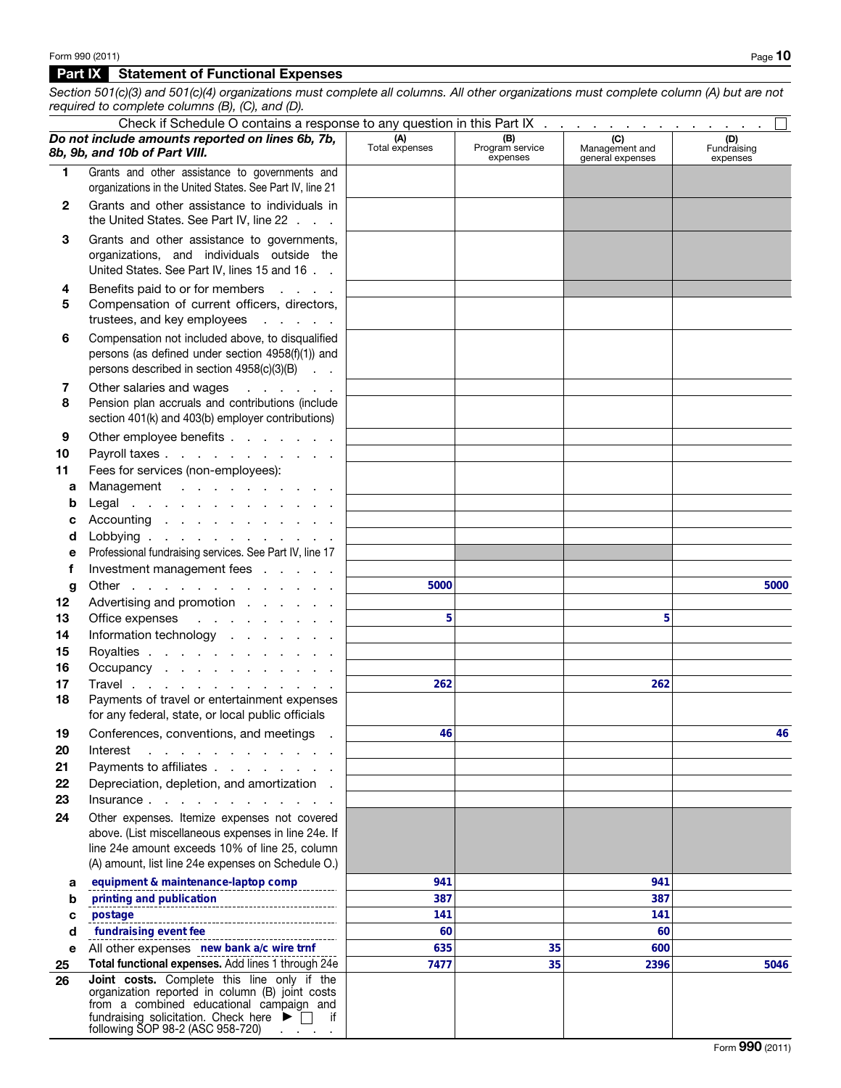## Part IX Statement of Functional Expenses

*Section 501(c)(3) and 501(c)(4) organizations must complete all columns. All other organizations must complete column (A) but are not required to complete columns (B), (C), and (D).*

|                 | Check if Schedule O contains a response to any question in this Part IX $\ldots$ , $\ldots$ , $\ldots$ , $\ldots$                                                                                        |                       |                                    |                                           |                                |
|-----------------|----------------------------------------------------------------------------------------------------------------------------------------------------------------------------------------------------------|-----------------------|------------------------------------|-------------------------------------------|--------------------------------|
|                 | Do not include amounts reported on lines 6b, 7b,<br>8b, 9b, and 10b of Part VIII.                                                                                                                        | (A)<br>Total expenses | (B)<br>Program service<br>expenses | (C)<br>Management and<br>general expenses | (D)<br>Fundraising<br>expenses |
| 1.              | Grants and other assistance to governments and                                                                                                                                                           |                       |                                    |                                           |                                |
|                 | organizations in the United States. See Part IV, line 21                                                                                                                                                 |                       |                                    |                                           |                                |
| $\mathbf{2}$    | Grants and other assistance to individuals in<br>the United States. See Part IV, line 22                                                                                                                 |                       |                                    |                                           |                                |
| 3               | Grants and other assistance to governments,<br>organizations, and individuals outside the<br>United States. See Part IV, lines 15 and 16                                                                 |                       |                                    |                                           |                                |
| 4<br>5          | Benefits paid to or for members<br>Compensation of current officers, directors,<br>trustees, and key employees                                                                                           |                       |                                    |                                           |                                |
| 6               | Compensation not included above, to disqualified<br>persons (as defined under section 4958(f)(1)) and<br>persons described in section 4958(c)(3)(B)                                                      |                       |                                    |                                           |                                |
| 7<br>8          | Other salaries and wages<br>and a series of<br>Pension plan accruals and contributions (include<br>section 401(k) and 403(b) employer contributions)                                                     |                       |                                    |                                           |                                |
| 9               | Other employee benefits                                                                                                                                                                                  |                       |                                    |                                           |                                |
| 10              | Payroll taxes                                                                                                                                                                                            |                       |                                    |                                           |                                |
| 11              | Fees for services (non-employees):                                                                                                                                                                       |                       |                                    |                                           |                                |
| а               | Management                                                                                                                                                                                               |                       |                                    |                                           |                                |
| b               | Legal                                                                                                                                                                                                    |                       |                                    |                                           |                                |
| с               | Accounting                                                                                                                                                                                               |                       |                                    |                                           |                                |
| d               | Lobbying $\ldots$ $\ldots$ $\ldots$ $\ldots$ $\ldots$                                                                                                                                                    |                       |                                    |                                           |                                |
| е               | Professional fundraising services. See Part IV, line 17                                                                                                                                                  |                       |                                    |                                           |                                |
| f               | Investment management fees                                                                                                                                                                               |                       |                                    |                                           |                                |
| g               | Other                                                                                                                                                                                                    | 5000                  |                                    |                                           | 5000                           |
| 12 <sub>2</sub> | Advertising and promotion                                                                                                                                                                                |                       |                                    |                                           |                                |
| 13              | Office expenses<br>and the contract of the contract                                                                                                                                                      | 5                     |                                    | 5                                         |                                |
| 14              | Information technology                                                                                                                                                                                   |                       |                                    |                                           |                                |
| 15              | Royalties                                                                                                                                                                                                |                       |                                    |                                           |                                |
| 16              | Occupancy                                                                                                                                                                                                |                       |                                    |                                           |                                |
| 17              | Travel                                                                                                                                                                                                   | 262                   |                                    | 262                                       |                                |
| 18              | Payments of travel or entertainment expenses<br>for any federal, state, or local public officials                                                                                                        |                       |                                    |                                           |                                |
| 19              | Conferences, conventions, and meetings                                                                                                                                                                   | 46                    |                                    |                                           | 46                             |
| 20              | Interest<br>and a series of the contract of the con-                                                                                                                                                     |                       |                                    |                                           |                                |
| 21              | Payments to affiliates                                                                                                                                                                                   |                       |                                    |                                           |                                |
| 22              | Depreciation, depletion, and amortization.                                                                                                                                                               |                       |                                    |                                           |                                |
| 23              | Insurance                                                                                                                                                                                                |                       |                                    |                                           |                                |
| 24              | Other expenses. Itemize expenses not covered                                                                                                                                                             |                       |                                    |                                           |                                |
|                 | above. (List miscellaneous expenses in line 24e. If                                                                                                                                                      |                       |                                    |                                           |                                |
|                 | line 24e amount exceeds 10% of line 25, column<br>(A) amount, list line 24e expenses on Schedule O.)                                                                                                     |                       |                                    |                                           |                                |
|                 |                                                                                                                                                                                                          |                       |                                    |                                           |                                |
| а               | equipment & maintenance-laptop comp                                                                                                                                                                      | 941                   |                                    | 941                                       |                                |
| b               | printing and publication                                                                                                                                                                                 | 387                   |                                    | 387                                       |                                |
| c               | postage                                                                                                                                                                                                  | 141<br>60             |                                    | 141<br>60                                 |                                |
| d<br>е          | fundraising event fee<br>All other expenses new bank a/c wire trnf                                                                                                                                       | 635                   | 35                                 | 600                                       |                                |
| 25              | Total functional expenses. Add lines 1 through 24e                                                                                                                                                       | 7477                  | 35                                 | 2396                                      | 5046                           |
| 26              | Joint costs. Complete this line only if the                                                                                                                                                              |                       |                                    |                                           |                                |
|                 | organization reported in column (B) joint costs<br>from a combined educational campaign and<br>fundraising solicitation. Check here $\blacktriangleright \Box$<br>if<br>following SOP 98-2 (ASC 958-720) |                       |                                    |                                           |                                |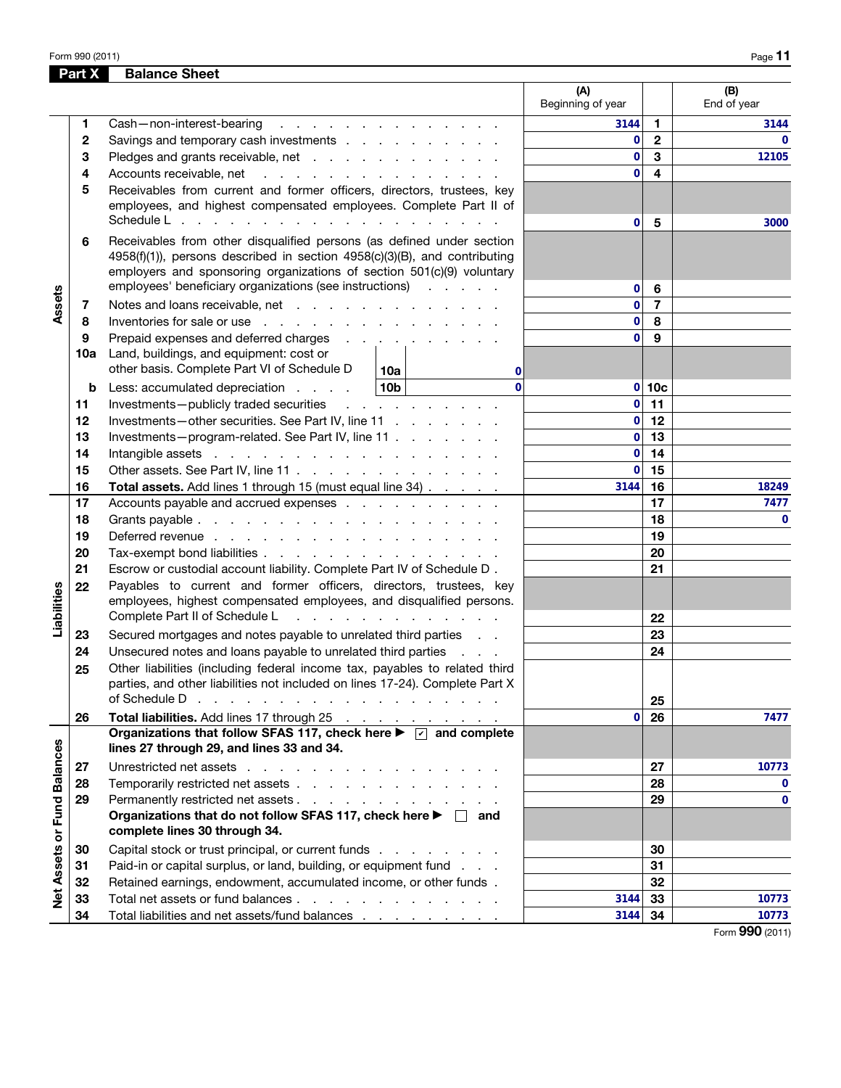Form 990 (2011)  $P_{\text{Age}}$  **11** 

|                             | Part X   | <b>Balance Sheet</b>                                                                                                                                                                                                           |                          |                         |                         |
|-----------------------------|----------|--------------------------------------------------------------------------------------------------------------------------------------------------------------------------------------------------------------------------------|--------------------------|-------------------------|-------------------------|
|                             |          |                                                                                                                                                                                                                                | (A)<br>Beginning of year |                         | (B)<br>End of year      |
|                             | 1        | Cash-non-interest-bearing<br>the contract of the contract of the contract of                                                                                                                                                   | 3144                     | 1                       | 3144                    |
|                             | 2        | Savings and temporary cash investments                                                                                                                                                                                         | 0                        | $\overline{\mathbf{2}}$ | $\Omega$                |
|                             | 3        | Pledges and grants receivable, net                                                                                                                                                                                             | 0                        | 3                       | 12105                   |
|                             | 4        | Accounts receivable, net                                                                                                                                                                                                       | $\bf{0}$                 | 4                       |                         |
|                             | 5        | Receivables from current and former officers, directors, trustees, key<br>employees, and highest compensated employees. Complete Part II of                                                                                    |                          |                         |                         |
|                             |          | Schedule L                                                                                                                                                                                                                     | 0                        | 5                       | 3000                    |
|                             | 6        | Receivables from other disqualified persons (as defined under section<br>4958(f)(1)), persons described in section 4958(c)(3)(B), and contributing<br>employers and sponsoring organizations of section 501(c)(9) voluntary    |                          |                         |                         |
|                             |          | employees' beneficiary organizations (see instructions)                                                                                                                                                                        | 0                        | 6                       |                         |
| Assets                      | 7        | Notes and loans receivable, net                                                                                                                                                                                                | $\mathbf 0$              | $\overline{7}$          |                         |
|                             | 8        | Inventories for sale or use with a state of the state of the state of the state of the state of the state of the state of the state of the state of the state of the state of the state of the state of the state of the state | $\mathbf 0$              | 8                       |                         |
|                             | 9        | Prepaid expenses and deferred charges                                                                                                                                                                                          | $\mathbf{0}$             | 9                       |                         |
|                             | 10a      | Land, buildings, and equipment: cost or<br>other basis. Complete Part VI of Schedule D                                                                                                                                         |                          |                         |                         |
|                             |          | 10a<br>0<br>$\Omega$                                                                                                                                                                                                           |                          |                         |                         |
|                             | b        | 10b<br>Less: accumulated depreciation                                                                                                                                                                                          | 0                        | 10 <sub>c</sub>         |                         |
|                             | 11<br>12 | Investments-publicly traded securities<br>and the company of the company                                                                                                                                                       | 0<br>$\mathbf 0$         | 11<br>12                |                         |
|                             | 13       | Investments-other securities. See Part IV, line 11                                                                                                                                                                             | $\mathbf 0$              | 13                      |                         |
|                             | 14       | Investments-program-related. See Part IV, line 11                                                                                                                                                                              | $\mathbf 0$              | 14                      |                         |
|                             | 15       | Other assets. See Part IV, line 11                                                                                                                                                                                             | 0                        | 15                      |                         |
|                             | 16       | Total assets. Add lines 1 through 15 (must equal line 34)                                                                                                                                                                      | 3144                     | 16                      | 18249                   |
| Liabilities                 | 17       | Accounts payable and accrued expenses                                                                                                                                                                                          |                          | 17                      | 7477                    |
|                             | 18       |                                                                                                                                                                                                                                |                          | 18                      | $\mathbf{0}$            |
|                             | 19       | Deferred revenue                                                                                                                                                                                                               |                          | 19                      |                         |
|                             | 20       | Tax-exempt bond liabilities                                                                                                                                                                                                    |                          | 20                      |                         |
|                             | 21       | Escrow or custodial account liability. Complete Part IV of Schedule D.                                                                                                                                                         |                          | 21                      |                         |
|                             | 22       | Payables to current and former officers, directors, trustees, key<br>employees, highest compensated employees, and disqualified persons.                                                                                       |                          |                         |                         |
|                             |          | Complete Part II of Schedule L<br>and a state of the contract and a state of                                                                                                                                                   |                          | 22                      |                         |
|                             | 23       | Secured mortgages and notes payable to unrelated third parties                                                                                                                                                                 |                          | 23                      |                         |
|                             | 24       | Unsecured notes and loans payable to unrelated third parties<br><b>Contractor</b>                                                                                                                                              |                          | 24                      |                         |
|                             | 25       | Other liabilities (including federal income tax, payables to related third<br>parties, and other liabilities not included on lines 17-24). Complete Part X                                                                     |                          |                         |                         |
|                             |          | of Schedule D<br>the contract of the contract of the contract of the contract of                                                                                                                                               |                          | 25                      |                         |
|                             | 26       | Total liabilities. Add lines 17 through 25                                                                                                                                                                                     | 0                        | 26                      | 7477                    |
| Net Assets or Fund Balances |          | Organizations that follow SFAS 117, check here $\blacktriangleright \triangleright \square$ and complete<br>lines 27 through 29, and lines 33 and 34.                                                                          |                          |                         |                         |
|                             | 27       | Unrestricted net assets                                                                                                                                                                                                        |                          | 27                      | 10773                   |
|                             | 28       | Temporarily restricted net assets                                                                                                                                                                                              |                          | 28                      | $\mathbf{0}$            |
|                             | 29       | Permanently restricted net assets                                                                                                                                                                                              |                          | 29                      | $\mathbf{0}$            |
|                             |          | Organizations that do not follow SFAS 117, check here $\blacktriangleright \Box$ and                                                                                                                                           |                          |                         |                         |
|                             |          | complete lines 30 through 34.                                                                                                                                                                                                  |                          |                         |                         |
|                             | 30       | Capital stock or trust principal, or current funds                                                                                                                                                                             |                          | 30                      |                         |
|                             | 31       | Paid-in or capital surplus, or land, building, or equipment fund                                                                                                                                                               |                          | 31                      |                         |
|                             | 32       | Retained earnings, endowment, accumulated income, or other funds.                                                                                                                                                              |                          | 32                      |                         |
|                             | 33       | Total net assets or fund balances                                                                                                                                                                                              | 3144                     | 33                      | 10773                   |
|                             | 34       | Total liabilities and net assets/fund balances                                                                                                                                                                                 | 3144                     | 34                      | 10773<br>$\overline{0}$ |

Form 990 (2011)